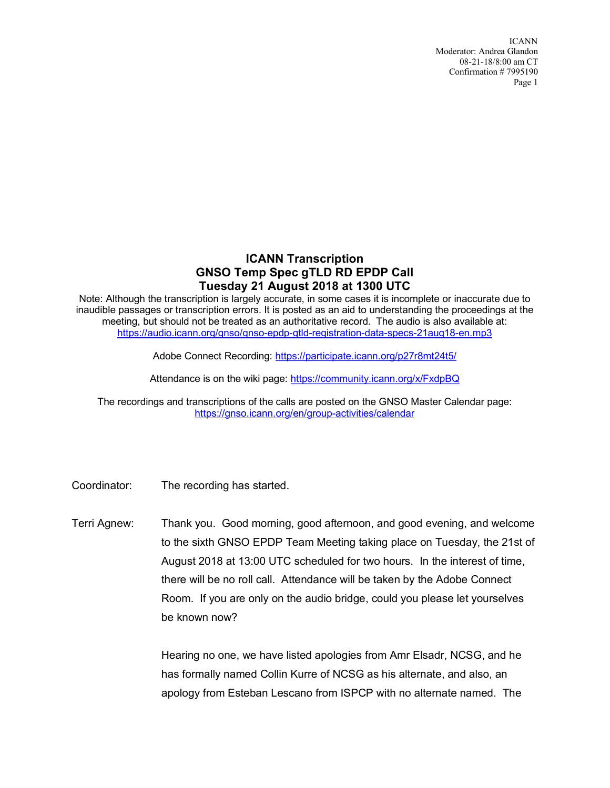ICANN Moderator: Andrea Glandon 08-21-18/8:00 am CT Confirmation # 7995190 Page 1

## **ICANN Transcription GNSO Temp Spec gTLD RD EPDP Call Tuesday 21 August 2018 at 1300 UTC**

Note: Although the transcription is largely accurate, in some cases it is incomplete or inaccurate due to inaudible passages or transcription errors. It is posted as an aid to understanding the proceedings at the meeting, but should not be treated as an authoritative record. The audio is also available at: https://audio.icann.org/gnso/gnso-epdp-gtld-registration-data-specs-21aug18-en.mp3

Adobe Connect Recording: https://participate.icann.org/p27r8mt24t5/

Attendance is on the wiki page: https://community.icann.org/x/FxdpBQ

The recordings and transcriptions of the calls are posted on the GNSO Master Calendar page: https://gnso.icann.org/en/group-activities/calendar

Coordinator: The recording has started.

Terri Agnew: Thank you. Good morning, good afternoon, and good evening, and welcome to the sixth GNSO EPDP Team Meeting taking place on Tuesday, the 21st of August 2018 at 13:00 UTC scheduled for two hours. In the interest of time, there will be no roll call. Attendance will be taken by the Adobe Connect Room. If you are only on the audio bridge, could you please let yourselves be known now?

> Hearing no one, we have listed apologies from Amr Elsadr, NCSG, and he has formally named Collin Kurre of NCSG as his alternate, and also, an apology from Esteban Lescano from ISPCP with no alternate named. The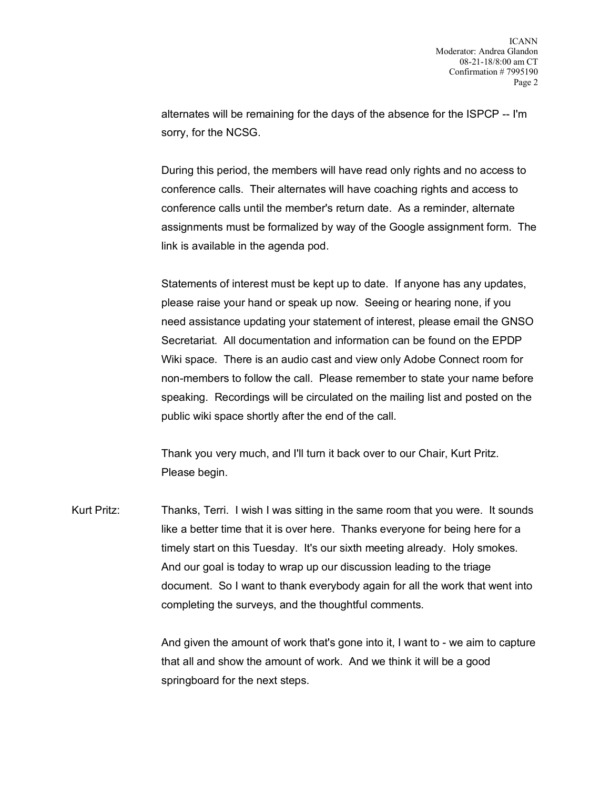alternates will be remaining for the days of the absence for the ISPCP -- I'm sorry, for the NCSG.

During this period, the members will have read only rights and no access to conference calls. Their alternates will have coaching rights and access to conference calls until the member's return date. As a reminder, alternate assignments must be formalized by way of the Google assignment form. The link is available in the agenda pod.

Statements of interest must be kept up to date. If anyone has any updates, please raise your hand or speak up now. Seeing or hearing none, if you need assistance updating your statement of interest, please email the GNSO Secretariat. All documentation and information can be found on the EPDP Wiki space. There is an audio cast and view only Adobe Connect room for non-members to follow the call. Please remember to state your name before speaking. Recordings will be circulated on the mailing list and posted on the public wiki space shortly after the end of the call.

Thank you very much, and I'll turn it back over to our Chair, Kurt Pritz. Please begin.

Kurt Pritz: Thanks, Terri. I wish I was sitting in the same room that you were. It sounds like a better time that it is over here. Thanks everyone for being here for a timely start on this Tuesday. It's our sixth meeting already. Holy smokes. And our goal is today to wrap up our discussion leading to the triage document. So I want to thank everybody again for all the work that went into completing the surveys, and the thoughtful comments.

> And given the amount of work that's gone into it, I want to - we aim to capture that all and show the amount of work. And we think it will be a good springboard for the next steps.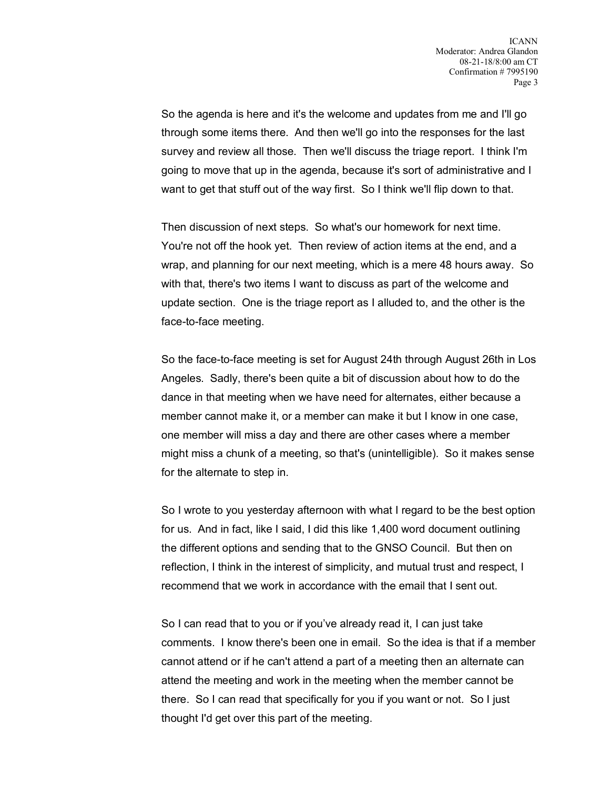So the agenda is here and it's the welcome and updates from me and I'll go through some items there. And then we'll go into the responses for the last survey and review all those. Then we'll discuss the triage report. I think I'm going to move that up in the agenda, because it's sort of administrative and I want to get that stuff out of the way first. So I think we'll flip down to that.

Then discussion of next steps. So what's our homework for next time. You're not off the hook yet. Then review of action items at the end, and a wrap, and planning for our next meeting, which is a mere 48 hours away. So with that, there's two items I want to discuss as part of the welcome and update section. One is the triage report as I alluded to, and the other is the face-to-face meeting.

So the face-to-face meeting is set for August 24th through August 26th in Los Angeles. Sadly, there's been quite a bit of discussion about how to do the dance in that meeting when we have need for alternates, either because a member cannot make it, or a member can make it but I know in one case, one member will miss a day and there are other cases where a member might miss a chunk of a meeting, so that's (unintelligible). So it makes sense for the alternate to step in.

So I wrote to you yesterday afternoon with what I regard to be the best option for us. And in fact, like I said, I did this like 1,400 word document outlining the different options and sending that to the GNSO Council. But then on reflection, I think in the interest of simplicity, and mutual trust and respect, I recommend that we work in accordance with the email that I sent out.

So I can read that to you or if you've already read it, I can just take comments. I know there's been one in email. So the idea is that if a member cannot attend or if he can't attend a part of a meeting then an alternate can attend the meeting and work in the meeting when the member cannot be there. So I can read that specifically for you if you want or not. So I just thought I'd get over this part of the meeting.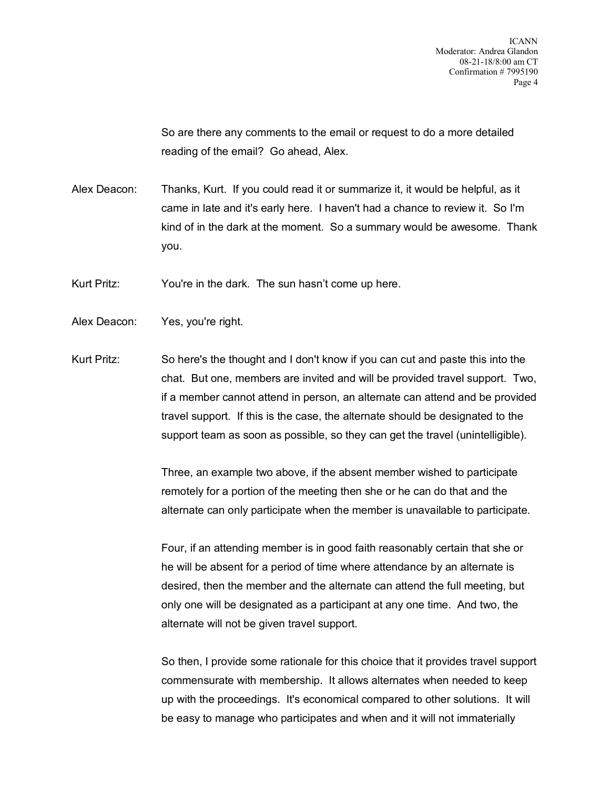So are there any comments to the email or request to do a more detailed reading of the email? Go ahead, Alex.

Alex Deacon: Thanks, Kurt. If you could read it or summarize it, it would be helpful, as it came in late and it's early here. I haven't had a chance to review it. So I'm kind of in the dark at the moment. So a summary would be awesome. Thank you.

Kurt Pritz: You're in the dark. The sun hasn't come up here.

- Alex Deacon: Yes, you're right.
- Kurt Pritz: So here's the thought and I don't know if you can cut and paste this into the chat. But one, members are invited and will be provided travel support. Two, if a member cannot attend in person, an alternate can attend and be provided travel support. If this is the case, the alternate should be designated to the support team as soon as possible, so they can get the travel (unintelligible).

Three, an example two above, if the absent member wished to participate remotely for a portion of the meeting then she or he can do that and the alternate can only participate when the member is unavailable to participate.

Four, if an attending member is in good faith reasonably certain that she or he will be absent for a period of time where attendance by an alternate is desired, then the member and the alternate can attend the full meeting, but only one will be designated as a participant at any one time. And two, the alternate will not be given travel support.

So then, I provide some rationale for this choice that it provides travel support commensurate with membership. It allows alternates when needed to keep up with the proceedings. It's economical compared to other solutions. It will be easy to manage who participates and when and it will not immaterially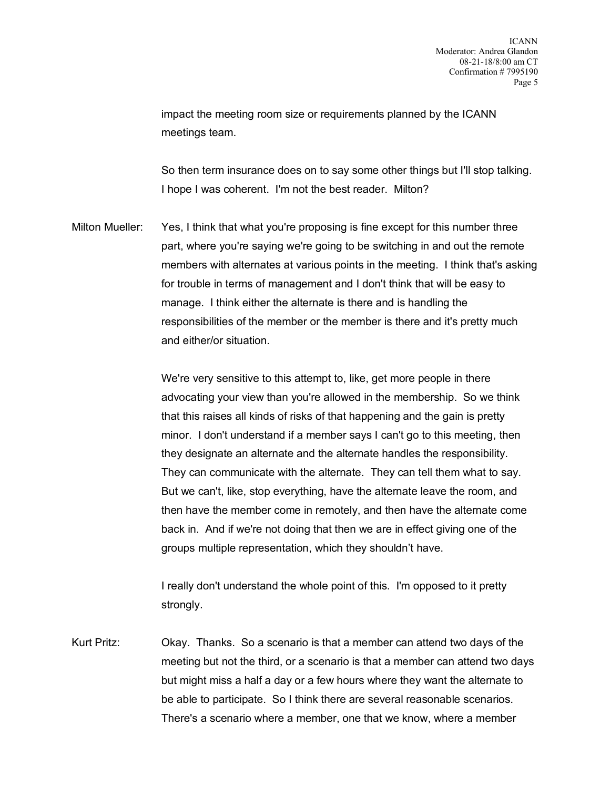impact the meeting room size or requirements planned by the ICANN meetings team.

So then term insurance does on to say some other things but I'll stop talking. I hope I was coherent. I'm not the best reader. Milton?

Milton Mueller: Yes, I think that what you're proposing is fine except for this number three part, where you're saying we're going to be switching in and out the remote members with alternates at various points in the meeting. I think that's asking for trouble in terms of management and I don't think that will be easy to manage. I think either the alternate is there and is handling the responsibilities of the member or the member is there and it's pretty much and either/or situation.

> We're very sensitive to this attempt to, like, get more people in there advocating your view than you're allowed in the membership. So we think that this raises all kinds of risks of that happening and the gain is pretty minor. I don't understand if a member says I can't go to this meeting, then they designate an alternate and the alternate handles the responsibility. They can communicate with the alternate. They can tell them what to say. But we can't, like, stop everything, have the alternate leave the room, and then have the member come in remotely, and then have the alternate come back in. And if we're not doing that then we are in effect giving one of the groups multiple representation, which they shouldn't have.

I really don't understand the whole point of this. I'm opposed to it pretty strongly.

Kurt Pritz: Okay. Thanks. So a scenario is that a member can attend two days of the meeting but not the third, or a scenario is that a member can attend two days but might miss a half a day or a few hours where they want the alternate to be able to participate. So I think there are several reasonable scenarios. There's a scenario where a member, one that we know, where a member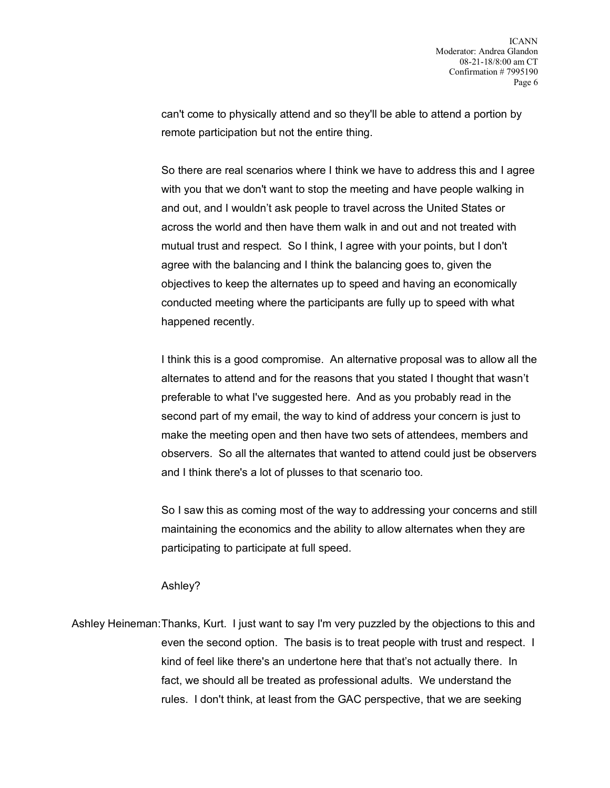can't come to physically attend and so they'll be able to attend a portion by remote participation but not the entire thing.

So there are real scenarios where I think we have to address this and I agree with you that we don't want to stop the meeting and have people walking in and out, and I wouldn't ask people to travel across the United States or across the world and then have them walk in and out and not treated with mutual trust and respect. So I think, I agree with your points, but I don't agree with the balancing and I think the balancing goes to, given the objectives to keep the alternates up to speed and having an economically conducted meeting where the participants are fully up to speed with what happened recently.

I think this is a good compromise. An alternative proposal was to allow all the alternates to attend and for the reasons that you stated I thought that wasn't preferable to what I've suggested here. And as you probably read in the second part of my email, the way to kind of address your concern is just to make the meeting open and then have two sets of attendees, members and observers. So all the alternates that wanted to attend could just be observers and I think there's a lot of plusses to that scenario too.

So I saw this as coming most of the way to addressing your concerns and still maintaining the economics and the ability to allow alternates when they are participating to participate at full speed.

## Ashley?

Ashley Heineman:Thanks, Kurt. I just want to say I'm very puzzled by the objections to this and even the second option. The basis is to treat people with trust and respect. I kind of feel like there's an undertone here that that's not actually there. In fact, we should all be treated as professional adults. We understand the rules. I don't think, at least from the GAC perspective, that we are seeking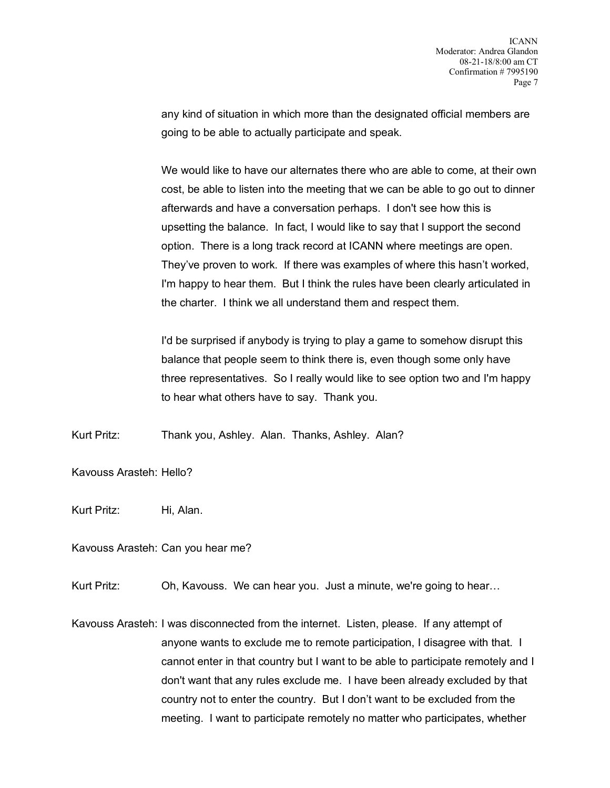any kind of situation in which more than the designated official members are going to be able to actually participate and speak.

We would like to have our alternates there who are able to come, at their own cost, be able to listen into the meeting that we can be able to go out to dinner afterwards and have a conversation perhaps. I don't see how this is upsetting the balance. In fact, I would like to say that I support the second option. There is a long track record at ICANN where meetings are open. They've proven to work. If there was examples of where this hasn't worked, I'm happy to hear them. But I think the rules have been clearly articulated in the charter. I think we all understand them and respect them.

I'd be surprised if anybody is trying to play a game to somehow disrupt this balance that people seem to think there is, even though some only have three representatives. So I really would like to see option two and I'm happy to hear what others have to say. Thank you.

Kurt Pritz: Thank you, Ashley. Alan. Thanks, Ashley. Alan?

Kavouss Arasteh: Hello?

Kurt Pritz: Hi, Alan.

Kavouss Arasteh: Can you hear me?

Kurt Pritz: Oh, Kavouss. We can hear you. Just a minute, we're going to hear...

Kavouss Arasteh: I was disconnected from the internet. Listen, please. If any attempt of anyone wants to exclude me to remote participation, I disagree with that. I cannot enter in that country but I want to be able to participate remotely and I don't want that any rules exclude me. I have been already excluded by that country not to enter the country. But I don't want to be excluded from the meeting. I want to participate remotely no matter who participates, whether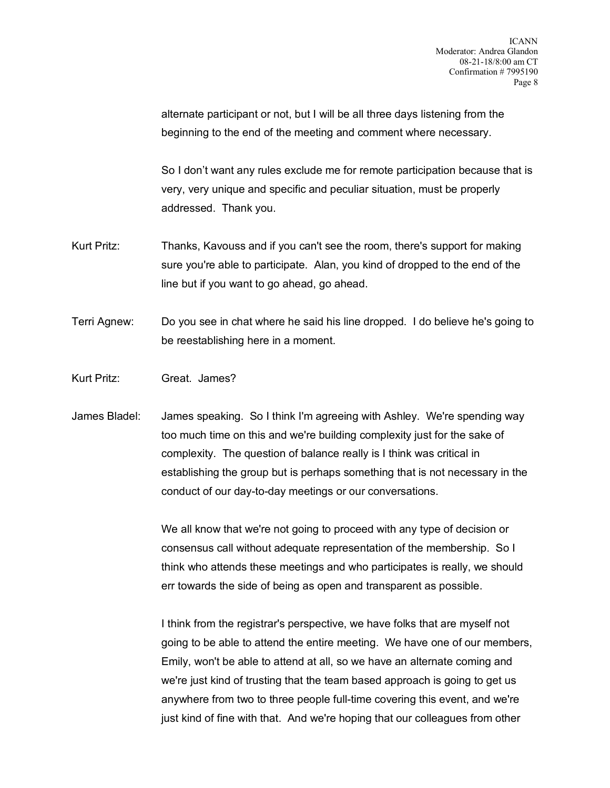alternate participant or not, but I will be all three days listening from the beginning to the end of the meeting and comment where necessary.

So I don't want any rules exclude me for remote participation because that is very, very unique and specific and peculiar situation, must be properly addressed. Thank you.

- Kurt Pritz: Thanks, Kavouss and if you can't see the room, there's support for making sure you're able to participate. Alan, you kind of dropped to the end of the line but if you want to go ahead, go ahead.
- Terri Agnew: Do you see in chat where he said his line dropped. I do believe he's going to be reestablishing here in a moment.
- Kurt Pritz: Great. James?
- James Bladel: James speaking. So I think I'm agreeing with Ashley. We're spending way too much time on this and we're building complexity just for the sake of complexity. The question of balance really is I think was critical in establishing the group but is perhaps something that is not necessary in the conduct of our day-to-day meetings or our conversations.

We all know that we're not going to proceed with any type of decision or consensus call without adequate representation of the membership. So I think who attends these meetings and who participates is really, we should err towards the side of being as open and transparent as possible.

I think from the registrar's perspective, we have folks that are myself not going to be able to attend the entire meeting. We have one of our members, Emily, won't be able to attend at all, so we have an alternate coming and we're just kind of trusting that the team based approach is going to get us anywhere from two to three people full-time covering this event, and we're just kind of fine with that. And we're hoping that our colleagues from other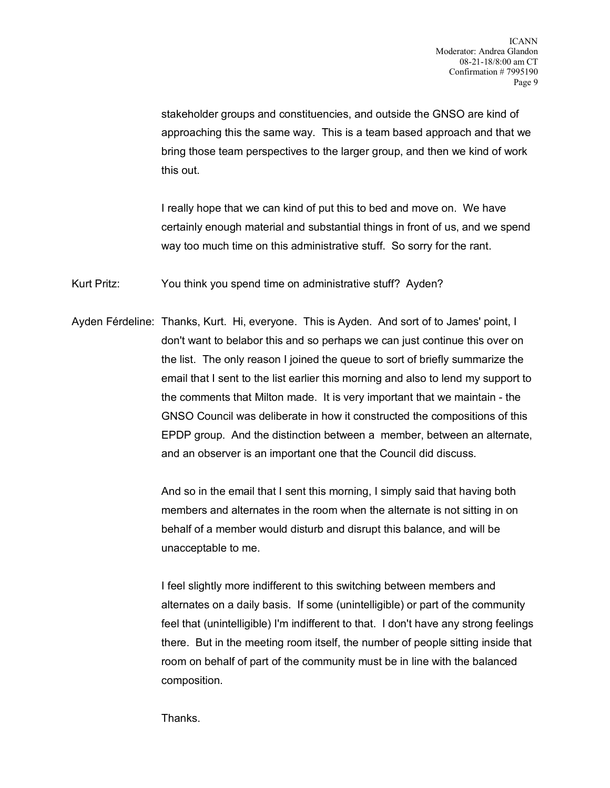stakeholder groups and constituencies, and outside the GNSO are kind of approaching this the same way. This is a team based approach and that we bring those team perspectives to the larger group, and then we kind of work this out.

I really hope that we can kind of put this to bed and move on. We have certainly enough material and substantial things in front of us, and we spend way too much time on this administrative stuff. So sorry for the rant.

Kurt Pritz: You think you spend time on administrative stuff? Ayden?

Ayden Férdeline: Thanks, Kurt. Hi, everyone. This is Ayden. And sort of to James' point, I don't want to belabor this and so perhaps we can just continue this over on the list. The only reason I joined the queue to sort of briefly summarize the email that I sent to the list earlier this morning and also to lend my support to the comments that Milton made. It is very important that we maintain - the GNSO Council was deliberate in how it constructed the compositions of this EPDP group. And the distinction between a member, between an alternate, and an observer is an important one that the Council did discuss.

> And so in the email that I sent this morning, I simply said that having both members and alternates in the room when the alternate is not sitting in on behalf of a member would disturb and disrupt this balance, and will be unacceptable to me.

I feel slightly more indifferent to this switching between members and alternates on a daily basis. If some (unintelligible) or part of the community feel that (unintelligible) I'm indifferent to that. I don't have any strong feelings there. But in the meeting room itself, the number of people sitting inside that room on behalf of part of the community must be in line with the balanced composition.

**Thanks**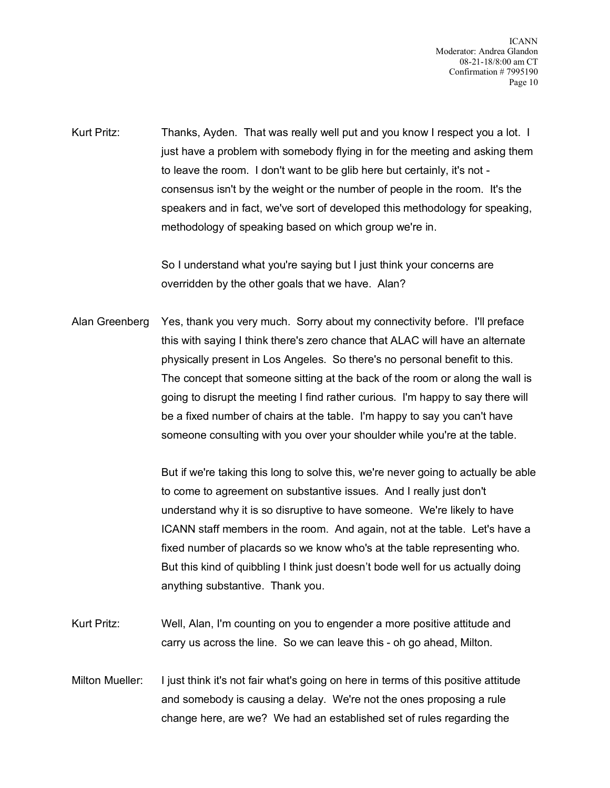Kurt Pritz: Thanks, Ayden. That was really well put and you know I respect you a lot. I just have a problem with somebody flying in for the meeting and asking them to leave the room. I don't want to be glib here but certainly, it's not consensus isn't by the weight or the number of people in the room. It's the speakers and in fact, we've sort of developed this methodology for speaking, methodology of speaking based on which group we're in.

> So I understand what you're saying but I just think your concerns are overridden by the other goals that we have. Alan?

Alan Greenberg Yes, thank you very much. Sorry about my connectivity before. I'll preface this with saying I think there's zero chance that ALAC will have an alternate physically present in Los Angeles. So there's no personal benefit to this. The concept that someone sitting at the back of the room or along the wall is going to disrupt the meeting I find rather curious. I'm happy to say there will be a fixed number of chairs at the table. I'm happy to say you can't have someone consulting with you over your shoulder while you're at the table.

> But if we're taking this long to solve this, we're never going to actually be able to come to agreement on substantive issues. And I really just don't understand why it is so disruptive to have someone. We're likely to have ICANN staff members in the room. And again, not at the table. Let's have a fixed number of placards so we know who's at the table representing who. But this kind of quibbling I think just doesn't bode well for us actually doing anything substantive. Thank you.

- Kurt Pritz: Well, Alan, I'm counting on you to engender a more positive attitude and carry us across the line. So we can leave this - oh go ahead, Milton.
- Milton Mueller: I just think it's not fair what's going on here in terms of this positive attitude and somebody is causing a delay. We're not the ones proposing a rule change here, are we? We had an established set of rules regarding the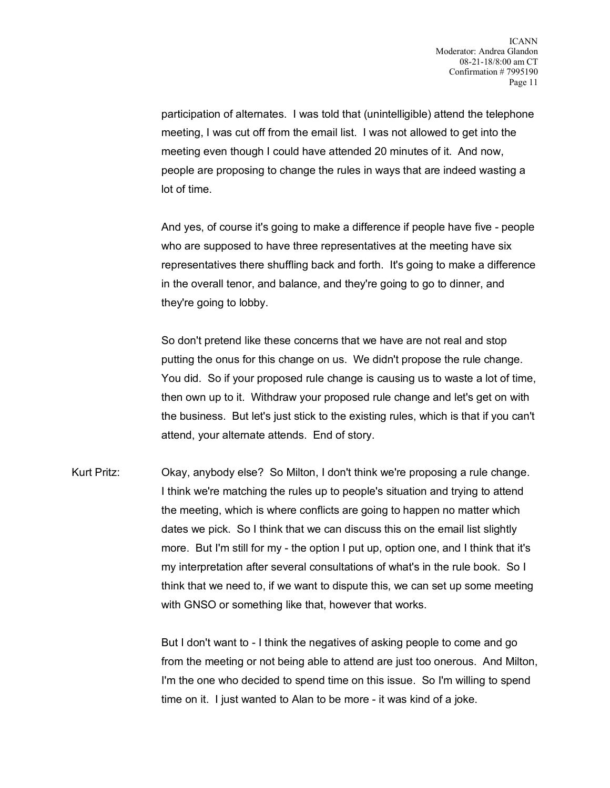participation of alternates. I was told that (unintelligible) attend the telephone meeting, I was cut off from the email list. I was not allowed to get into the meeting even though I could have attended 20 minutes of it. And now, people are proposing to change the rules in ways that are indeed wasting a lot of time.

And yes, of course it's going to make a difference if people have five - people who are supposed to have three representatives at the meeting have six representatives there shuffling back and forth. It's going to make a difference in the overall tenor, and balance, and they're going to go to dinner, and they're going to lobby.

So don't pretend like these concerns that we have are not real and stop putting the onus for this change on us. We didn't propose the rule change. You did. So if your proposed rule change is causing us to waste a lot of time, then own up to it. Withdraw your proposed rule change and let's get on with the business. But let's just stick to the existing rules, which is that if you can't attend, your alternate attends. End of story.

Kurt Pritz: Okay, anybody else? So Milton, I don't think we're proposing a rule change. I think we're matching the rules up to people's situation and trying to attend the meeting, which is where conflicts are going to happen no matter which dates we pick. So I think that we can discuss this on the email list slightly more. But I'm still for my - the option I put up, option one, and I think that it's my interpretation after several consultations of what's in the rule book. So I think that we need to, if we want to dispute this, we can set up some meeting with GNSO or something like that, however that works.

> But I don't want to - I think the negatives of asking people to come and go from the meeting or not being able to attend are just too onerous. And Milton, I'm the one who decided to spend time on this issue. So I'm willing to spend time on it. I just wanted to Alan to be more - it was kind of a joke.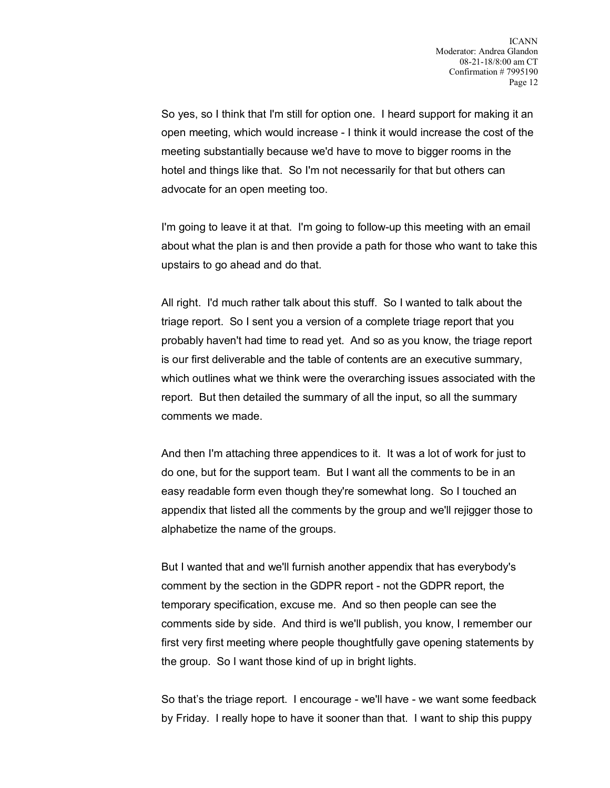So yes, so I think that I'm still for option one. I heard support for making it an open meeting, which would increase - I think it would increase the cost of the meeting substantially because we'd have to move to bigger rooms in the hotel and things like that. So I'm not necessarily for that but others can advocate for an open meeting too.

I'm going to leave it at that. I'm going to follow-up this meeting with an email about what the plan is and then provide a path for those who want to take this upstairs to go ahead and do that.

All right. I'd much rather talk about this stuff. So I wanted to talk about the triage report. So I sent you a version of a complete triage report that you probably haven't had time to read yet. And so as you know, the triage report is our first deliverable and the table of contents are an executive summary, which outlines what we think were the overarching issues associated with the report. But then detailed the summary of all the input, so all the summary comments we made.

And then I'm attaching three appendices to it. It was a lot of work for just to do one, but for the support team. But I want all the comments to be in an easy readable form even though they're somewhat long. So I touched an appendix that listed all the comments by the group and we'll rejigger those to alphabetize the name of the groups.

But I wanted that and we'll furnish another appendix that has everybody's comment by the section in the GDPR report - not the GDPR report, the temporary specification, excuse me. And so then people can see the comments side by side. And third is we'll publish, you know, I remember our first very first meeting where people thoughtfully gave opening statements by the group. So I want those kind of up in bright lights.

So that's the triage report. I encourage - we'll have - we want some feedback by Friday. I really hope to have it sooner than that. I want to ship this puppy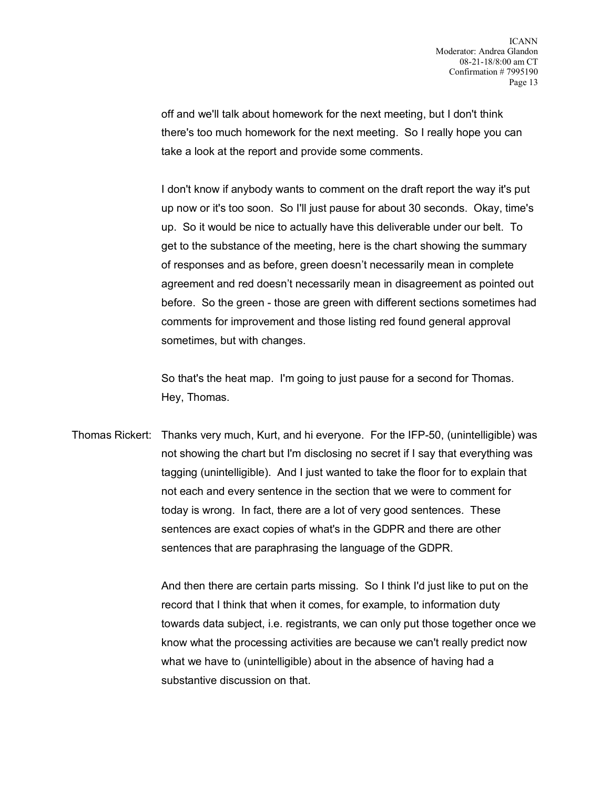off and we'll talk about homework for the next meeting, but I don't think there's too much homework for the next meeting. So I really hope you can take a look at the report and provide some comments.

I don't know if anybody wants to comment on the draft report the way it's put up now or it's too soon. So I'll just pause for about 30 seconds. Okay, time's up. So it would be nice to actually have this deliverable under our belt. To get to the substance of the meeting, here is the chart showing the summary of responses and as before, green doesn't necessarily mean in complete agreement and red doesn't necessarily mean in disagreement as pointed out before. So the green - those are green with different sections sometimes had comments for improvement and those listing red found general approval sometimes, but with changes.

So that's the heat map. I'm going to just pause for a second for Thomas. Hey, Thomas.

Thomas Rickert: Thanks very much, Kurt, and hi everyone. For the IFP-50, (unintelligible) was not showing the chart but I'm disclosing no secret if I say that everything was tagging (unintelligible). And I just wanted to take the floor for to explain that not each and every sentence in the section that we were to comment for today is wrong. In fact, there are a lot of very good sentences. These sentences are exact copies of what's in the GDPR and there are other sentences that are paraphrasing the language of the GDPR.

> And then there are certain parts missing. So I think I'd just like to put on the record that I think that when it comes, for example, to information duty towards data subject, i.e. registrants, we can only put those together once we know what the processing activities are because we can't really predict now what we have to (unintelligible) about in the absence of having had a substantive discussion on that.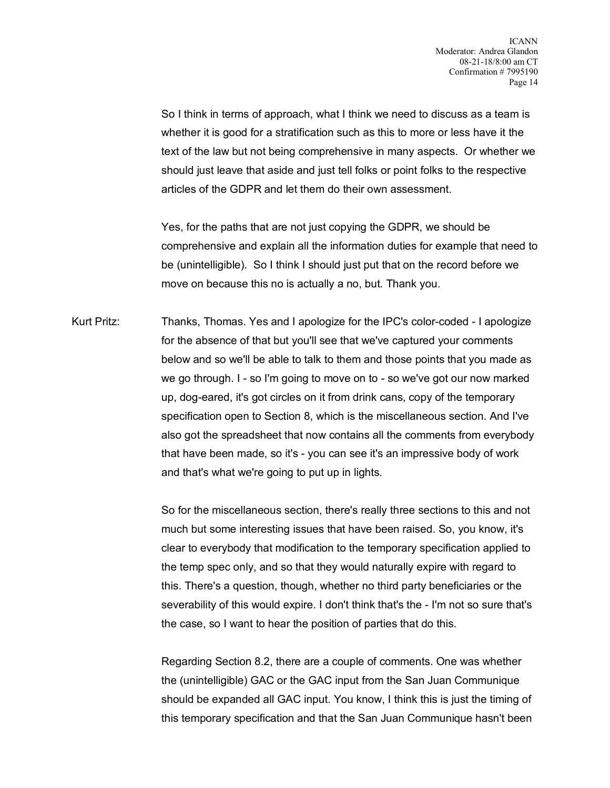So I think in terms of approach, what I think we need to discuss as a team is whether it is good for a stratification such as this to more or less have it the text of the law but not being comprehensive in many aspects. Or whether we should just leave that aside and just tell folks or point folks to the respective articles of the GDPR and let them do their own assessment.

Yes, for the paths that are not just copying the GDPR, we should be comprehensive and explain all the information duties for example that need to be (unintelligible). So I think I should just put that on the record before we move on because this no is actually a no, but. Thank you.

Kurt Pritz: Thanks, Thomas. Yes and I apologize for the IPC's color-coded - I apologize for the absence of that but you'll see that we've captured your comments below and so we'll be able to talk to them and those points that you made as we go through. I - so I'm going to move on to - so we've got our now marked up, dog-eared, it's got circles on it from drink cans, copy of the temporary specification open to Section 8, which is the miscellaneous section. And I've also got the spreadsheet that now contains all the comments from everybody that have been made, so it's - you can see it's an impressive body of work and that's what we're going to put up in lights.

> So for the miscellaneous section, there's really three sections to this and not much but some interesting issues that have been raised. So, you know, it's clear to everybody that modification to the temporary specification applied to the temp spec only, and so that they would naturally expire with regard to this. There's a question, though, whether no third party beneficiaries or the severability of this would expire. I don't think that's the - I'm not so sure that's the case, so I want to hear the position of parties that do this.

> Regarding Section 8.2, there are a couple of comments. One was whether the (unintelligible) GAC or the GAC input from the San Juan Communique should be expanded all GAC input. You know, I think this is just the timing of this temporary specification and that the San Juan Communique hasn't been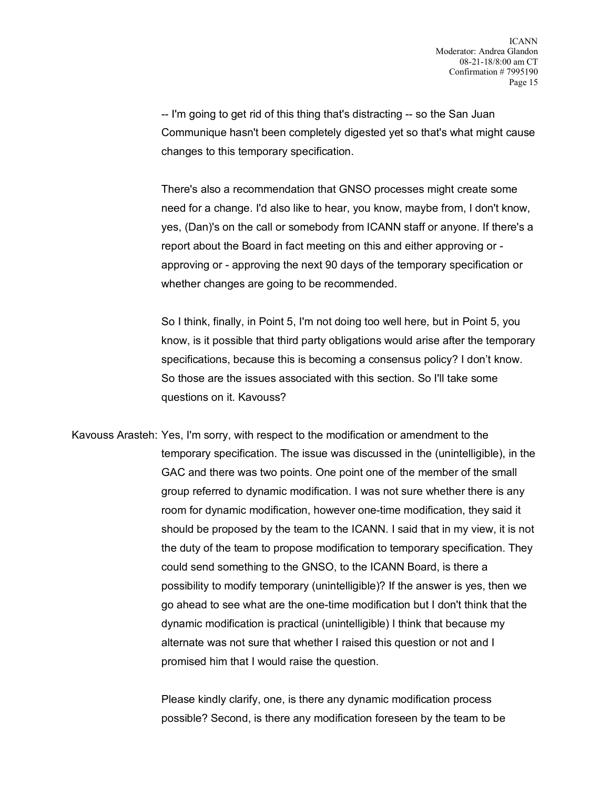-- I'm going to get rid of this thing that's distracting -- so the San Juan Communique hasn't been completely digested yet so that's what might cause changes to this temporary specification.

There's also a recommendation that GNSO processes might create some need for a change. I'd also like to hear, you know, maybe from, I don't know, yes, (Dan)'s on the call or somebody from ICANN staff or anyone. If there's a report about the Board in fact meeting on this and either approving or approving or - approving the next 90 days of the temporary specification or whether changes are going to be recommended.

So I think, finally, in Point 5, I'm not doing too well here, but in Point 5, you know, is it possible that third party obligations would arise after the temporary specifications, because this is becoming a consensus policy? I don't know. So those are the issues associated with this section. So I'll take some questions on it. Kavouss?

Kavouss Arasteh: Yes, I'm sorry, with respect to the modification or amendment to the temporary specification. The issue was discussed in the (unintelligible), in the GAC and there was two points. One point one of the member of the small group referred to dynamic modification. I was not sure whether there is any room for dynamic modification, however one-time modification, they said it should be proposed by the team to the ICANN. I said that in my view, it is not the duty of the team to propose modification to temporary specification. They could send something to the GNSO, to the ICANN Board, is there a possibility to modify temporary (unintelligible)? If the answer is yes, then we go ahead to see what are the one-time modification but I don't think that the dynamic modification is practical (unintelligible) I think that because my alternate was not sure that whether I raised this question or not and I promised him that I would raise the question.

> Please kindly clarify, one, is there any dynamic modification process possible? Second, is there any modification foreseen by the team to be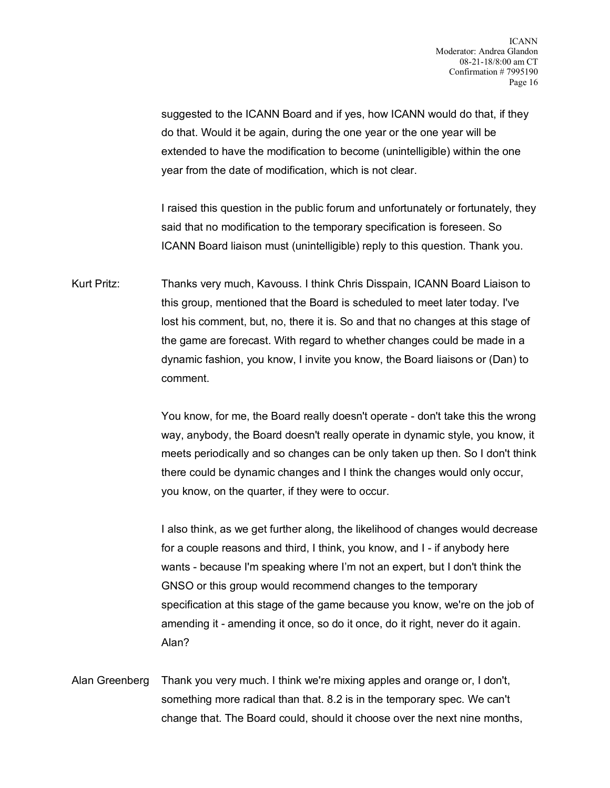suggested to the ICANN Board and if yes, how ICANN would do that, if they do that. Would it be again, during the one year or the one year will be extended to have the modification to become (unintelligible) within the one year from the date of modification, which is not clear.

I raised this question in the public forum and unfortunately or fortunately, they said that no modification to the temporary specification is foreseen. So ICANN Board liaison must (unintelligible) reply to this question. Thank you.

Kurt Pritz: Thanks very much, Kavouss. I think Chris Disspain, ICANN Board Liaison to this group, mentioned that the Board is scheduled to meet later today. I've lost his comment, but, no, there it is. So and that no changes at this stage of the game are forecast. With regard to whether changes could be made in a dynamic fashion, you know, I invite you know, the Board liaisons or (Dan) to comment.

> You know, for me, the Board really doesn't operate - don't take this the wrong way, anybody, the Board doesn't really operate in dynamic style, you know, it meets periodically and so changes can be only taken up then. So I don't think there could be dynamic changes and I think the changes would only occur, you know, on the quarter, if they were to occur.

> I also think, as we get further along, the likelihood of changes would decrease for a couple reasons and third, I think, you know, and I - if anybody here wants - because I'm speaking where I'm not an expert, but I don't think the GNSO or this group would recommend changes to the temporary specification at this stage of the game because you know, we're on the job of amending it - amending it once, so do it once, do it right, never do it again. Alan?

Alan Greenberg Thank you very much. I think we're mixing apples and orange or, I don't, something more radical than that. 8.2 is in the temporary spec. We can't change that. The Board could, should it choose over the next nine months,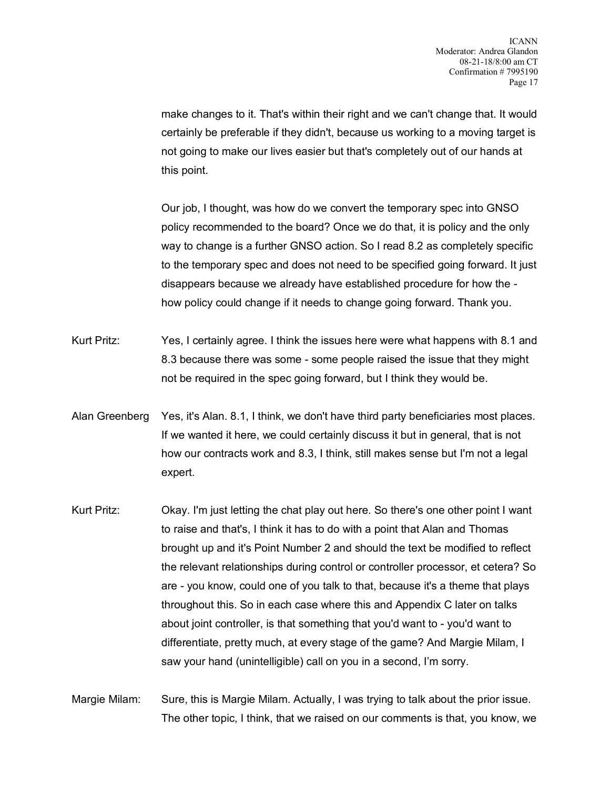make changes to it. That's within their right and we can't change that. It would certainly be preferable if they didn't, because us working to a moving target is not going to make our lives easier but that's completely out of our hands at this point.

Our job, I thought, was how do we convert the temporary spec into GNSO policy recommended to the board? Once we do that, it is policy and the only way to change is a further GNSO action. So I read 8.2 as completely specific to the temporary spec and does not need to be specified going forward. It just disappears because we already have established procedure for how the how policy could change if it needs to change going forward. Thank you.

- Kurt Pritz: Yes, I certainly agree. I think the issues here were what happens with 8.1 and 8.3 because there was some - some people raised the issue that they might not be required in the spec going forward, but I think they would be.
- Alan Greenberg Yes, it's Alan. 8.1, I think, we don't have third party beneficiaries most places. If we wanted it here, we could certainly discuss it but in general, that is not how our contracts work and 8.3, I think, still makes sense but I'm not a legal expert.
- Kurt Pritz: Okay. I'm just letting the chat play out here. So there's one other point I want to raise and that's, I think it has to do with a point that Alan and Thomas brought up and it's Point Number 2 and should the text be modified to reflect the relevant relationships during control or controller processor, et cetera? So are - you know, could one of you talk to that, because it's a theme that plays throughout this. So in each case where this and Appendix C later on talks about joint controller, is that something that you'd want to - you'd want to differentiate, pretty much, at every stage of the game? And Margie Milam, I saw your hand (unintelligible) call on you in a second, I'm sorry.

Margie Milam: Sure, this is Margie Milam. Actually, I was trying to talk about the prior issue. The other topic, I think, that we raised on our comments is that, you know, we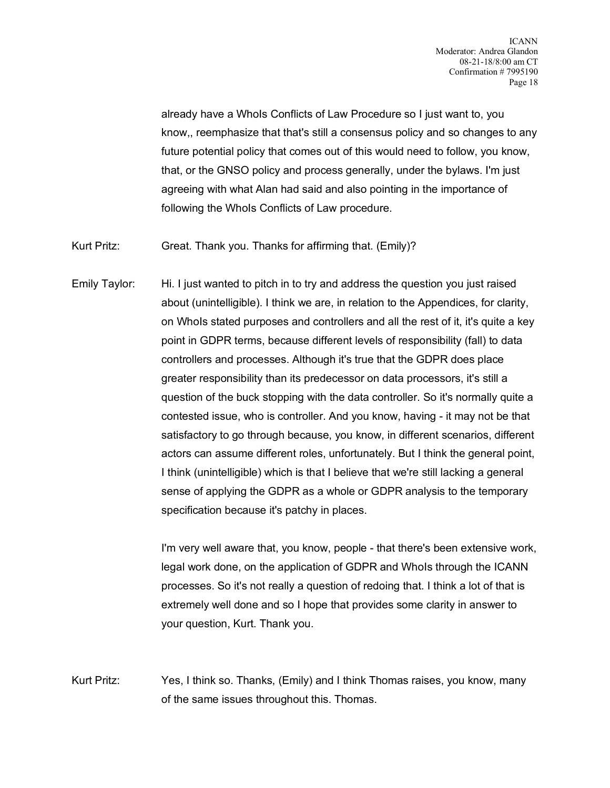already have a WhoIs Conflicts of Law Procedure so I just want to, you know,, reemphasize that that's still a consensus policy and so changes to any future potential policy that comes out of this would need to follow, you know, that, or the GNSO policy and process generally, under the bylaws. I'm just agreeing with what Alan had said and also pointing in the importance of following the WhoIs Conflicts of Law procedure.

Kurt Pritz: Great. Thank you. Thanks for affirming that. (Emily)?

Emily Taylor: Hi. I just wanted to pitch in to try and address the question you just raised about (unintelligible). I think we are, in relation to the Appendices, for clarity, on WhoIs stated purposes and controllers and all the rest of it, it's quite a key point in GDPR terms, because different levels of responsibility (fall) to data controllers and processes. Although it's true that the GDPR does place greater responsibility than its predecessor on data processors, it's still a question of the buck stopping with the data controller. So it's normally quite a contested issue, who is controller. And you know, having - it may not be that satisfactory to go through because, you know, in different scenarios, different actors can assume different roles, unfortunately. But I think the general point, I think (unintelligible) which is that I believe that we're still lacking a general sense of applying the GDPR as a whole or GDPR analysis to the temporary specification because it's patchy in places.

> I'm very well aware that, you know, people - that there's been extensive work, legal work done, on the application of GDPR and WhoIs through the ICANN processes. So it's not really a question of redoing that. I think a lot of that is extremely well done and so I hope that provides some clarity in answer to your question, Kurt. Thank you.

Kurt Pritz: Yes, I think so. Thanks, (Emily) and I think Thomas raises, you know, many of the same issues throughout this. Thomas.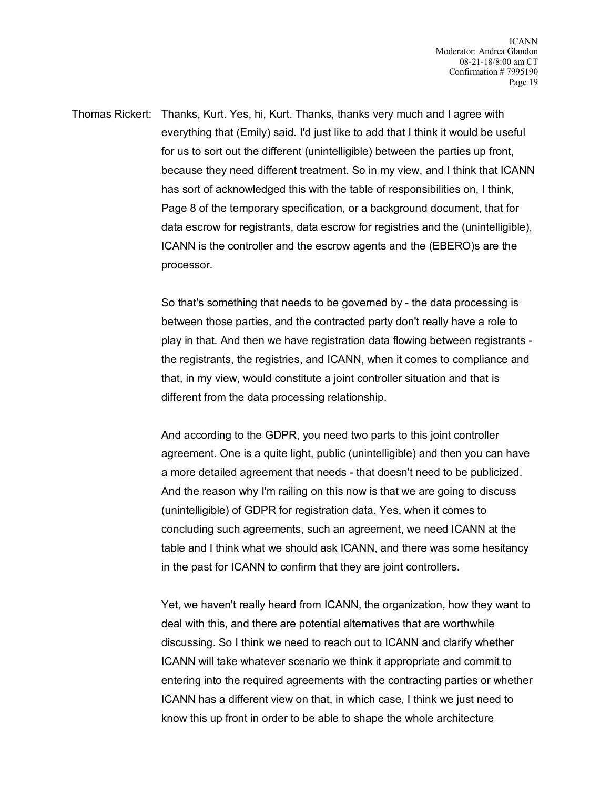Thomas Rickert: Thanks, Kurt. Yes, hi, Kurt. Thanks, thanks very much and I agree with everything that (Emily) said. I'd just like to add that I think it would be useful for us to sort out the different (unintelligible) between the parties up front, because they need different treatment. So in my view, and I think that ICANN has sort of acknowledged this with the table of responsibilities on, I think, Page 8 of the temporary specification, or a background document, that for data escrow for registrants, data escrow for registries and the (unintelligible), ICANN is the controller and the escrow agents and the (EBERO)s are the processor.

> So that's something that needs to be governed by - the data processing is between those parties, and the contracted party don't really have a role to play in that. And then we have registration data flowing between registrants the registrants, the registries, and ICANN, when it comes to compliance and that, in my view, would constitute a joint controller situation and that is different from the data processing relationship.

> And according to the GDPR, you need two parts to this joint controller agreement. One is a quite light, public (unintelligible) and then you can have a more detailed agreement that needs - that doesn't need to be publicized. And the reason why I'm railing on this now is that we are going to discuss (unintelligible) of GDPR for registration data. Yes, when it comes to concluding such agreements, such an agreement, we need ICANN at the table and I think what we should ask ICANN, and there was some hesitancy in the past for ICANN to confirm that they are joint controllers.

Yet, we haven't really heard from ICANN, the organization, how they want to deal with this, and there are potential alternatives that are worthwhile discussing. So I think we need to reach out to ICANN and clarify whether ICANN will take whatever scenario we think it appropriate and commit to entering into the required agreements with the contracting parties or whether ICANN has a different view on that, in which case, I think we just need to know this up front in order to be able to shape the whole architecture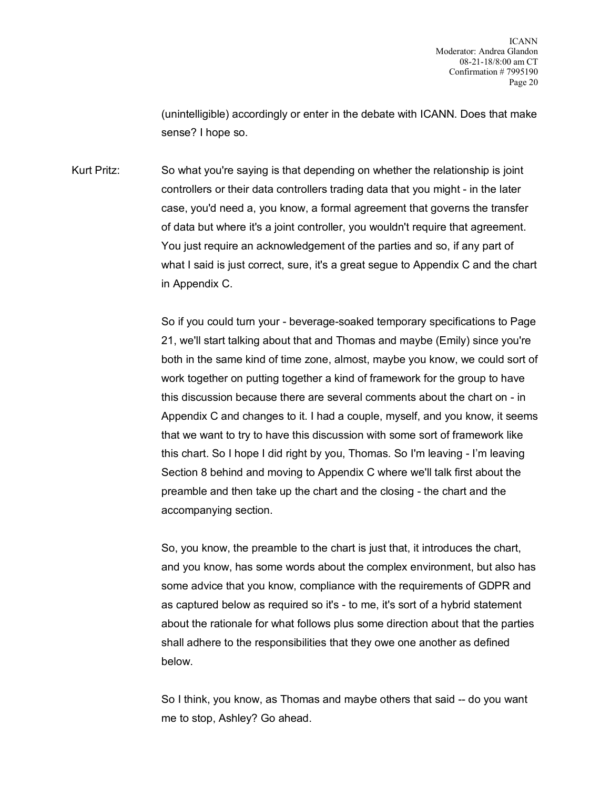(unintelligible) accordingly or enter in the debate with ICANN. Does that make sense? I hope so.

Kurt Pritz: So what you're saying is that depending on whether the relationship is joint controllers or their data controllers trading data that you might - in the later case, you'd need a, you know, a formal agreement that governs the transfer of data but where it's a joint controller, you wouldn't require that agreement. You just require an acknowledgement of the parties and so, if any part of what I said is just correct, sure, it's a great segue to Appendix C and the chart in Appendix C.

> So if you could turn your - beverage-soaked temporary specifications to Page 21, we'll start talking about that and Thomas and maybe (Emily) since you're both in the same kind of time zone, almost, maybe you know, we could sort of work together on putting together a kind of framework for the group to have this discussion because there are several comments about the chart on - in Appendix C and changes to it. I had a couple, myself, and you know, it seems that we want to try to have this discussion with some sort of framework like this chart. So I hope I did right by you, Thomas. So I'm leaving - I'm leaving Section 8 behind and moving to Appendix C where we'll talk first about the preamble and then take up the chart and the closing - the chart and the accompanying section.

> So, you know, the preamble to the chart is just that, it introduces the chart, and you know, has some words about the complex environment, but also has some advice that you know, compliance with the requirements of GDPR and as captured below as required so it's - to me, it's sort of a hybrid statement about the rationale for what follows plus some direction about that the parties shall adhere to the responsibilities that they owe one another as defined below.

So I think, you know, as Thomas and maybe others that said -- do you want me to stop, Ashley? Go ahead.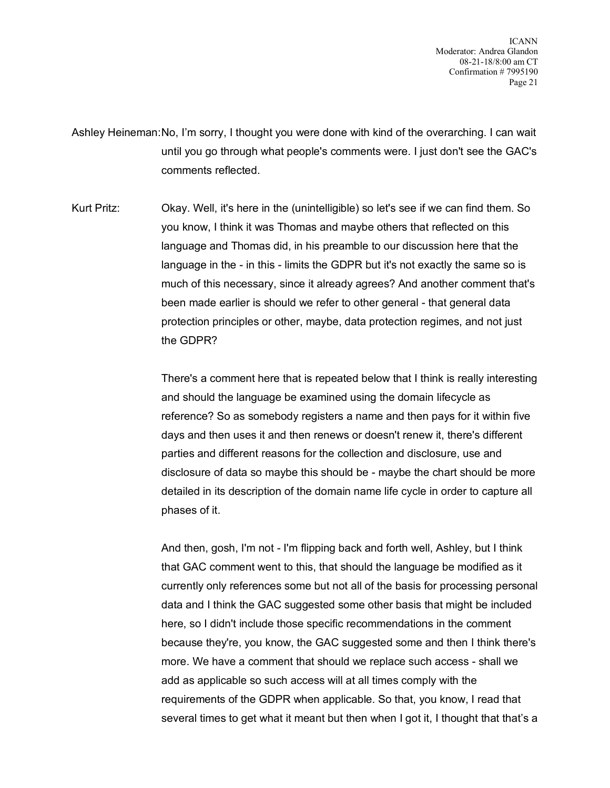ICANN Moderator: Andrea Glandon 08-21-18/8:00 am CT Confirmation # 7995190 Page 21

Ashley Heineman:No, I'm sorry, I thought you were done with kind of the overarching. I can wait until you go through what people's comments were. I just don't see the GAC's comments reflected.

Kurt Pritz: Okay. Well, it's here in the (unintelligible) so let's see if we can find them. So you know, I think it was Thomas and maybe others that reflected on this language and Thomas did, in his preamble to our discussion here that the language in the - in this - limits the GDPR but it's not exactly the same so is much of this necessary, since it already agrees? And another comment that's been made earlier is should we refer to other general - that general data protection principles or other, maybe, data protection regimes, and not just the GDPR?

> There's a comment here that is repeated below that I think is really interesting and should the language be examined using the domain lifecycle as reference? So as somebody registers a name and then pays for it within five days and then uses it and then renews or doesn't renew it, there's different parties and different reasons for the collection and disclosure, use and disclosure of data so maybe this should be - maybe the chart should be more detailed in its description of the domain name life cycle in order to capture all phases of it.

> And then, gosh, I'm not - I'm flipping back and forth well, Ashley, but I think that GAC comment went to this, that should the language be modified as it currently only references some but not all of the basis for processing personal data and I think the GAC suggested some other basis that might be included here, so I didn't include those specific recommendations in the comment because they're, you know, the GAC suggested some and then I think there's more. We have a comment that should we replace such access - shall we add as applicable so such access will at all times comply with the requirements of the GDPR when applicable. So that, you know, I read that several times to get what it meant but then when I got it, I thought that that's a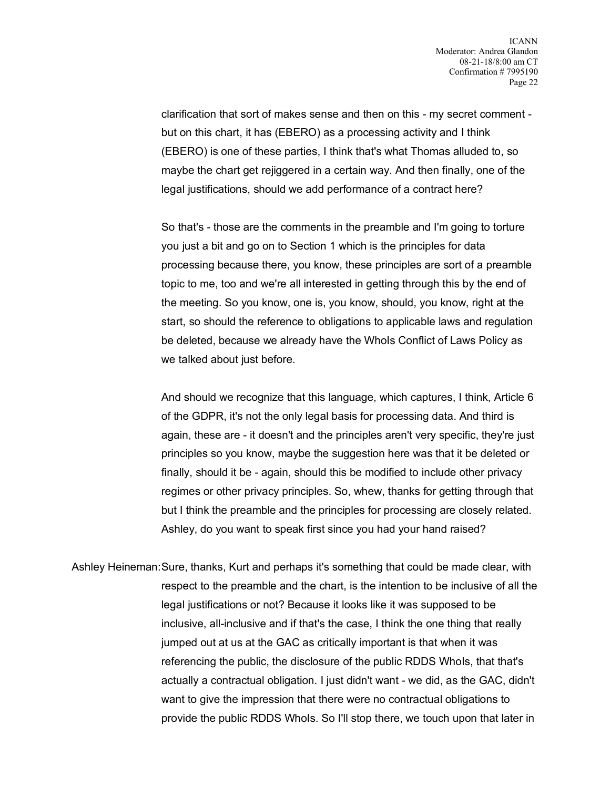clarification that sort of makes sense and then on this - my secret comment but on this chart, it has (EBERO) as a processing activity and I think (EBERO) is one of these parties, I think that's what Thomas alluded to, so maybe the chart get rejiggered in a certain way. And then finally, one of the legal justifications, should we add performance of a contract here?

So that's - those are the comments in the preamble and I'm going to torture you just a bit and go on to Section 1 which is the principles for data processing because there, you know, these principles are sort of a preamble topic to me, too and we're all interested in getting through this by the end of the meeting. So you know, one is, you know, should, you know, right at the start, so should the reference to obligations to applicable laws and regulation be deleted, because we already have the WhoIs Conflict of Laws Policy as we talked about just before.

And should we recognize that this language, which captures, I think, Article 6 of the GDPR, it's not the only legal basis for processing data. And third is again, these are - it doesn't and the principles aren't very specific, they're just principles so you know, maybe the suggestion here was that it be deleted or finally, should it be - again, should this be modified to include other privacy regimes or other privacy principles. So, whew, thanks for getting through that but I think the preamble and the principles for processing are closely related. Ashley, do you want to speak first since you had your hand raised?

Ashley Heineman:Sure, thanks, Kurt and perhaps it's something that could be made clear, with respect to the preamble and the chart, is the intention to be inclusive of all the legal justifications or not? Because it looks like it was supposed to be inclusive, all-inclusive and if that's the case, I think the one thing that really jumped out at us at the GAC as critically important is that when it was referencing the public, the disclosure of the public RDDS Whols, that that's actually a contractual obligation. I just didn't want - we did, as the GAC, didn't want to give the impression that there were no contractual obligations to provide the public RDDS WhoIs. So I'll stop there, we touch upon that later in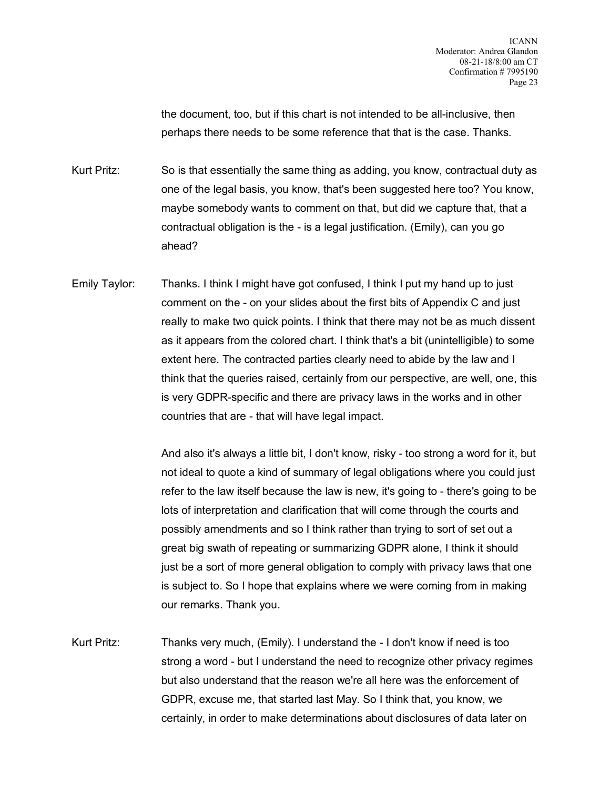the document, too, but if this chart is not intended to be all-inclusive, then perhaps there needs to be some reference that that is the case. Thanks.

Kurt Pritz: So is that essentially the same thing as adding, you know, contractual duty as one of the legal basis, you know, that's been suggested here too? You know, maybe somebody wants to comment on that, but did we capture that, that a contractual obligation is the - is a legal justification. (Emily), can you go ahead?

Emily Taylor: Thanks. I think I might have got confused, I think I put my hand up to just comment on the - on your slides about the first bits of Appendix C and just really to make two quick points. I think that there may not be as much dissent as it appears from the colored chart. I think that's a bit (unintelligible) to some extent here. The contracted parties clearly need to abide by the law and I think that the queries raised, certainly from our perspective, are well, one, this is very GDPR-specific and there are privacy laws in the works and in other countries that are - that will have legal impact.

> And also it's always a little bit, I don't know, risky - too strong a word for it, but not ideal to quote a kind of summary of legal obligations where you could just refer to the law itself because the law is new, it's going to - there's going to be lots of interpretation and clarification that will come through the courts and possibly amendments and so I think rather than trying to sort of set out a great big swath of repeating or summarizing GDPR alone, I think it should just be a sort of more general obligation to comply with privacy laws that one is subject to. So I hope that explains where we were coming from in making our remarks. Thank you.

Kurt Pritz: Thanks very much, (Emily). I understand the - I don't know if need is too strong a word - but I understand the need to recognize other privacy regimes but also understand that the reason we're all here was the enforcement of GDPR, excuse me, that started last May. So I think that, you know, we certainly, in order to make determinations about disclosures of data later on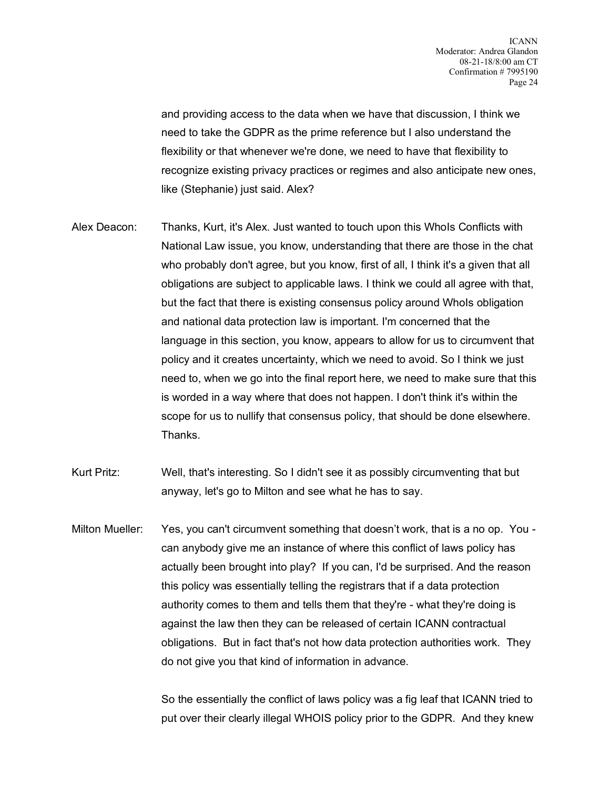and providing access to the data when we have that discussion, I think we need to take the GDPR as the prime reference but I also understand the flexibility or that whenever we're done, we need to have that flexibility to recognize existing privacy practices or regimes and also anticipate new ones, like (Stephanie) just said. Alex?

- Alex Deacon: Thanks, Kurt, it's Alex. Just wanted to touch upon this WhoIs Conflicts with National Law issue, you know, understanding that there are those in the chat who probably don't agree, but you know, first of all, I think it's a given that all obligations are subject to applicable laws. I think we could all agree with that, but the fact that there is existing consensus policy around WhoIs obligation and national data protection law is important. I'm concerned that the language in this section, you know, appears to allow for us to circumvent that policy and it creates uncertainty, which we need to avoid. So I think we just need to, when we go into the final report here, we need to make sure that this is worded in a way where that does not happen. I don't think it's within the scope for us to nullify that consensus policy, that should be done elsewhere. Thanks.
- Kurt Pritz: Well, that's interesting. So I didn't see it as possibly circumventing that but anyway, let's go to Milton and see what he has to say.
- Milton Mueller: Yes, you can't circumvent something that doesn't work, that is a no op. You can anybody give me an instance of where this conflict of laws policy has actually been brought into play? If you can, I'd be surprised. And the reason this policy was essentially telling the registrars that if a data protection authority comes to them and tells them that they're - what they're doing is against the law then they can be released of certain ICANN contractual obligations. But in fact that's not how data protection authorities work. They do not give you that kind of information in advance.

So the essentially the conflict of laws policy was a fig leaf that ICANN tried to put over their clearly illegal WHOIS policy prior to the GDPR. And they knew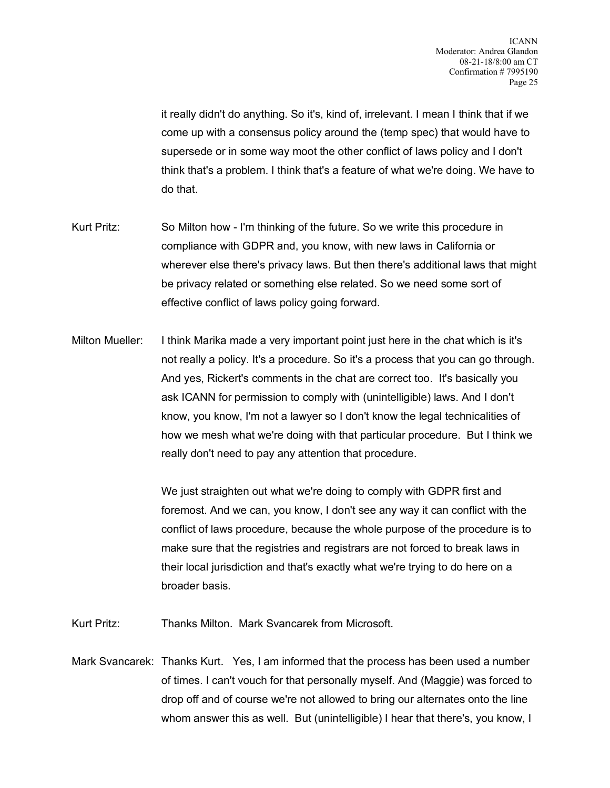it really didn't do anything. So it's, kind of, irrelevant. I mean I think that if we come up with a consensus policy around the (temp spec) that would have to supersede or in some way moot the other conflict of laws policy and I don't think that's a problem. I think that's a feature of what we're doing. We have to do that.

- Kurt Pritz: So Milton how I'm thinking of the future. So we write this procedure in compliance with GDPR and, you know, with new laws in California or wherever else there's privacy laws. But then there's additional laws that might be privacy related or something else related. So we need some sort of effective conflict of laws policy going forward.
- Milton Mueller: I think Marika made a very important point just here in the chat which is it's not really a policy. It's a procedure. So it's a process that you can go through. And yes, Rickert's comments in the chat are correct too. It's basically you ask ICANN for permission to comply with (unintelligible) laws. And I don't know, you know, I'm not a lawyer so I don't know the legal technicalities of how we mesh what we're doing with that particular procedure. But I think we really don't need to pay any attention that procedure.

We just straighten out what we're doing to comply with GDPR first and foremost. And we can, you know, I don't see any way it can conflict with the conflict of laws procedure, because the whole purpose of the procedure is to make sure that the registries and registrars are not forced to break laws in their local jurisdiction and that's exactly what we're trying to do here on a broader basis.

Kurt Pritz: Thanks Milton. Mark Svancarek from Microsoft.

Mark Svancarek: Thanks Kurt. Yes, I am informed that the process has been used a number of times. I can't vouch for that personally myself. And (Maggie) was forced to drop off and of course we're not allowed to bring our alternates onto the line whom answer this as well. But (unintelligible) I hear that there's, you know, I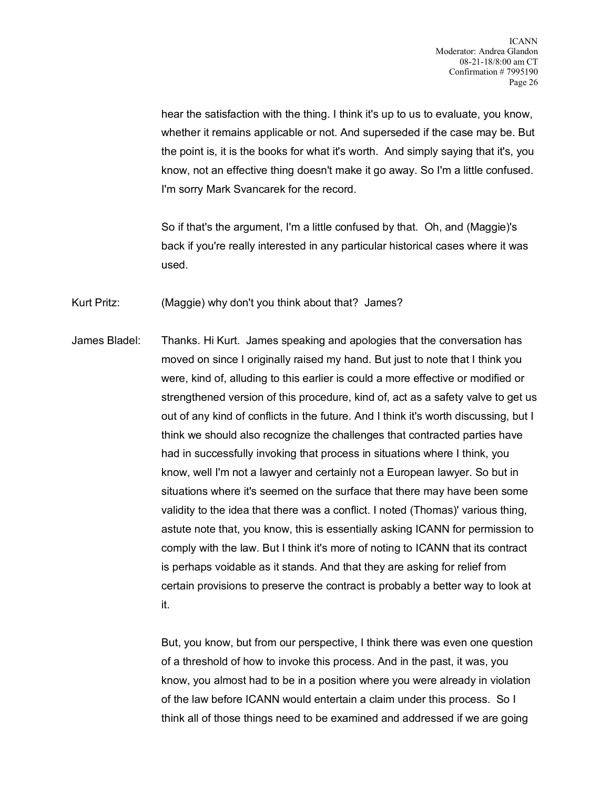hear the satisfaction with the thing. I think it's up to us to evaluate, you know, whether it remains applicable or not. And superseded if the case may be. But the point is, it is the books for what it's worth. And simply saying that it's, you know, not an effective thing doesn't make it go away. So I'm a little confused. I'm sorry Mark Svancarek for the record.

So if that's the argument, I'm a little confused by that. Oh, and (Maggie)'s back if you're really interested in any particular historical cases where it was used.

Kurt Pritz: (Maggie) why don't you think about that? James?

James Bladel: Thanks. Hi Kurt. James speaking and apologies that the conversation has moved on since I originally raised my hand. But just to note that I think you were, kind of, alluding to this earlier is could a more effective or modified or strengthened version of this procedure, kind of, act as a safety valve to get us out of any kind of conflicts in the future. And I think it's worth discussing, but I think we should also recognize the challenges that contracted parties have had in successfully invoking that process in situations where I think, you know, well I'm not a lawyer and certainly not a European lawyer. So but in situations where it's seemed on the surface that there may have been some validity to the idea that there was a conflict. I noted (Thomas)' various thing, astute note that, you know, this is essentially asking ICANN for permission to comply with the law. But I think it's more of noting to ICANN that its contract is perhaps voidable as it stands. And that they are asking for relief from certain provisions to preserve the contract is probably a better way to look at it.

> But, you know, but from our perspective, I think there was even one question of a threshold of how to invoke this process. And in the past, it was, you know, you almost had to be in a position where you were already in violation of the law before ICANN would entertain a claim under this process. So I think all of those things need to be examined and addressed if we are going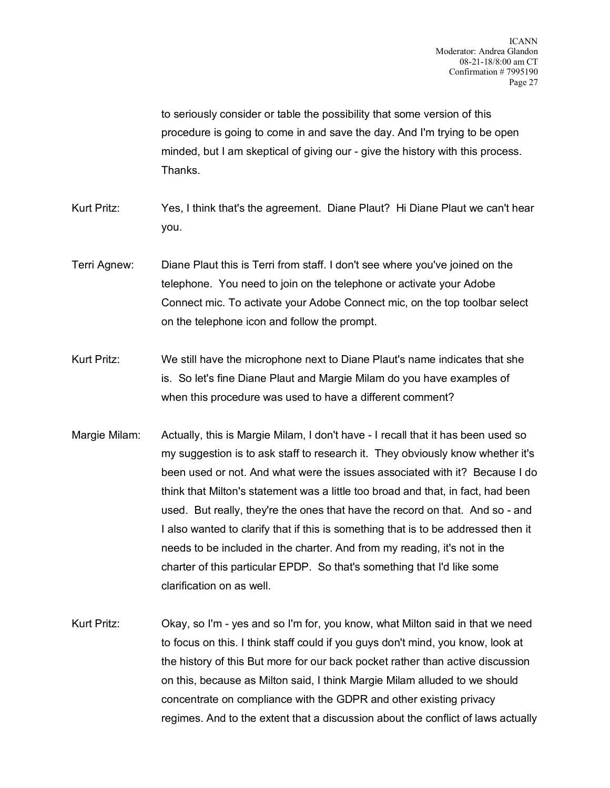to seriously consider or table the possibility that some version of this procedure is going to come in and save the day. And I'm trying to be open minded, but I am skeptical of giving our - give the history with this process. Thanks.

- Kurt Pritz: Yes, I think that's the agreement. Diane Plaut? Hi Diane Plaut we can't hear you.
- Terri Agnew: Diane Plaut this is Terri from staff. I don't see where you've joined on the telephone. You need to join on the telephone or activate your Adobe Connect mic. To activate your Adobe Connect mic, on the top toolbar select on the telephone icon and follow the prompt.
- Kurt Pritz: We still have the microphone next to Diane Plaut's name indicates that she is. So let's fine Diane Plaut and Margie Milam do you have examples of when this procedure was used to have a different comment?
- Margie Milam: Actually, this is Margie Milam, I don't have I recall that it has been used so my suggestion is to ask staff to research it. They obviously know whether it's been used or not. And what were the issues associated with it? Because I do think that Milton's statement was a little too broad and that, in fact, had been used. But really, they're the ones that have the record on that. And so - and I also wanted to clarify that if this is something that is to be addressed then it needs to be included in the charter. And from my reading, it's not in the charter of this particular EPDP. So that's something that I'd like some clarification on as well.
- Kurt Pritz: Okay, so I'm yes and so I'm for, you know, what Milton said in that we need to focus on this. I think staff could if you guys don't mind, you know, look at the history of this But more for our back pocket rather than active discussion on this, because as Milton said, I think Margie Milam alluded to we should concentrate on compliance with the GDPR and other existing privacy regimes. And to the extent that a discussion about the conflict of laws actually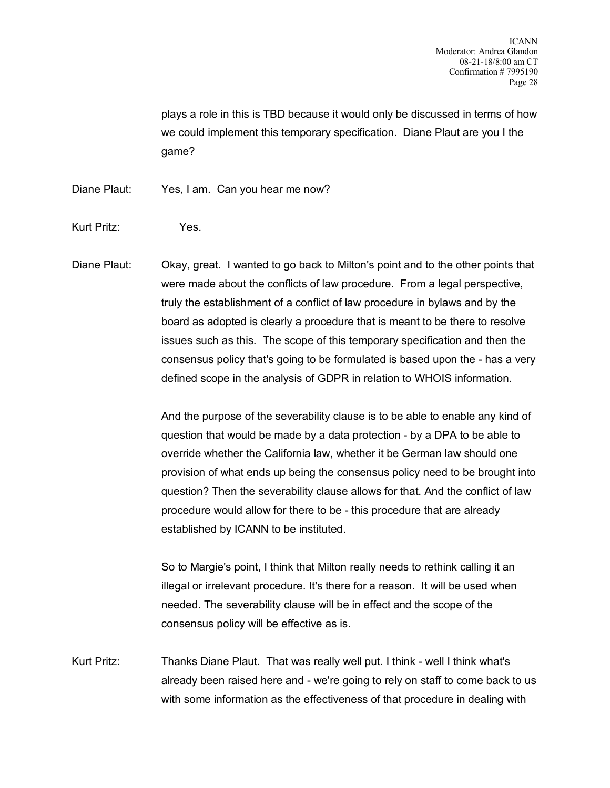plays a role in this is TBD because it would only be discussed in terms of how we could implement this temporary specification. Diane Plaut are you I the game?

Diane Plaut: Yes, I am. Can you hear me now?

Kurt Pritz: Yes.

Diane Plaut: Okay, great. I wanted to go back to Milton's point and to the other points that were made about the conflicts of law procedure. From a legal perspective, truly the establishment of a conflict of law procedure in bylaws and by the board as adopted is clearly a procedure that is meant to be there to resolve issues such as this. The scope of this temporary specification and then the consensus policy that's going to be formulated is based upon the - has a very defined scope in the analysis of GDPR in relation to WHOIS information.

> And the purpose of the severability clause is to be able to enable any kind of question that would be made by a data protection - by a DPA to be able to override whether the California law, whether it be German law should one provision of what ends up being the consensus policy need to be brought into question? Then the severability clause allows for that. And the conflict of law procedure would allow for there to be - this procedure that are already established by ICANN to be instituted.

So to Margie's point, I think that Milton really needs to rethink calling it an illegal or irrelevant procedure. It's there for a reason. It will be used when needed. The severability clause will be in effect and the scope of the consensus policy will be effective as is.

Kurt Pritz: Thanks Diane Plaut. That was really well put. I think - well I think what's already been raised here and - we're going to rely on staff to come back to us with some information as the effectiveness of that procedure in dealing with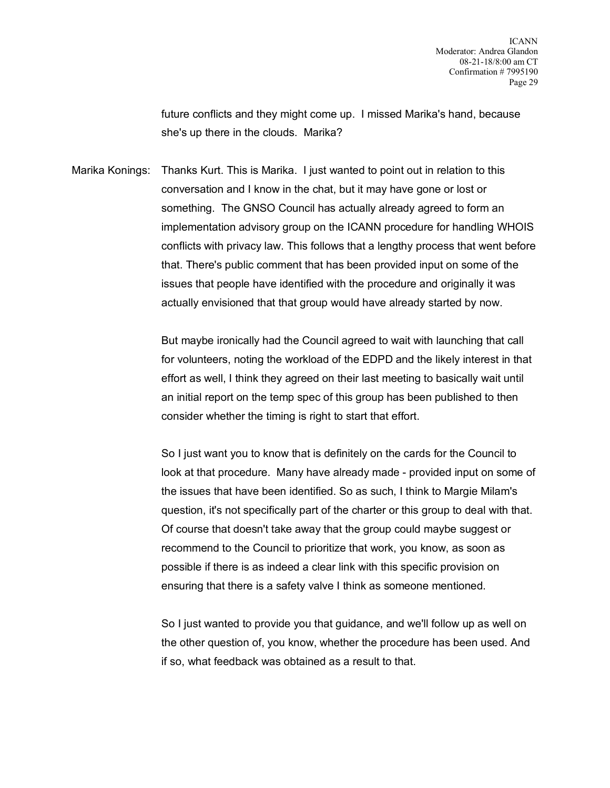future conflicts and they might come up. I missed Marika's hand, because she's up there in the clouds. Marika?

Marika Konings: Thanks Kurt. This is Marika. I just wanted to point out in relation to this conversation and I know in the chat, but it may have gone or lost or something. The GNSO Council has actually already agreed to form an implementation advisory group on the ICANN procedure for handling WHOIS conflicts with privacy law. This follows that a lengthy process that went before that. There's public comment that has been provided input on some of the issues that people have identified with the procedure and originally it was actually envisioned that that group would have already started by now.

> But maybe ironically had the Council agreed to wait with launching that call for volunteers, noting the workload of the EDPD and the likely interest in that effort as well, I think they agreed on their last meeting to basically wait until an initial report on the temp spec of this group has been published to then consider whether the timing is right to start that effort.

> So I just want you to know that is definitely on the cards for the Council to look at that procedure. Many have already made - provided input on some of the issues that have been identified. So as such, I think to Margie Milam's question, it's not specifically part of the charter or this group to deal with that. Of course that doesn't take away that the group could maybe suggest or recommend to the Council to prioritize that work, you know, as soon as possible if there is as indeed a clear link with this specific provision on ensuring that there is a safety valve I think as someone mentioned.

So I just wanted to provide you that guidance, and we'll follow up as well on the other question of, you know, whether the procedure has been used. And if so, what feedback was obtained as a result to that.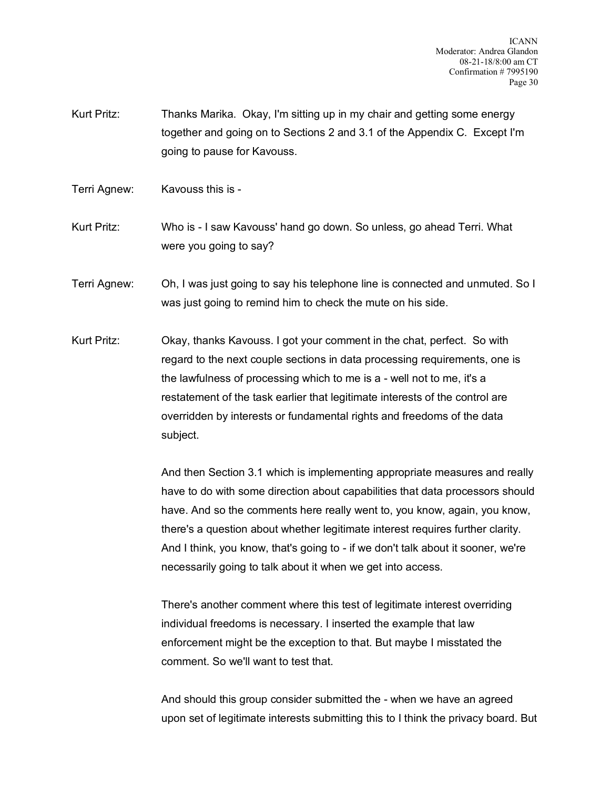Kurt Pritz: Thanks Marika. Okay, I'm sitting up in my chair and getting some energy together and going on to Sections 2 and 3.1 of the Appendix C. Except I'm going to pause for Kavouss.

Terri Agnew: Kavouss this is -

Kurt Pritz: Who is - I saw Kavouss' hand go down. So unless, go ahead Terri. What were you going to say?

Terri Agnew: Oh, I was just going to say his telephone line is connected and unmuted. So I was just going to remind him to check the mute on his side.

Kurt Pritz: Okay, thanks Kavouss. I got your comment in the chat, perfect. So with regard to the next couple sections in data processing requirements, one is the lawfulness of processing which to me is a - well not to me, it's a restatement of the task earlier that legitimate interests of the control are overridden by interests or fundamental rights and freedoms of the data subject.

> And then Section 3.1 which is implementing appropriate measures and really have to do with some direction about capabilities that data processors should have. And so the comments here really went to, you know, again, you know, there's a question about whether legitimate interest requires further clarity. And I think, you know, that's going to - if we don't talk about it sooner, we're necessarily going to talk about it when we get into access.

There's another comment where this test of legitimate interest overriding individual freedoms is necessary. I inserted the example that law enforcement might be the exception to that. But maybe I misstated the comment. So we'll want to test that.

And should this group consider submitted the - when we have an agreed upon set of legitimate interests submitting this to I think the privacy board. But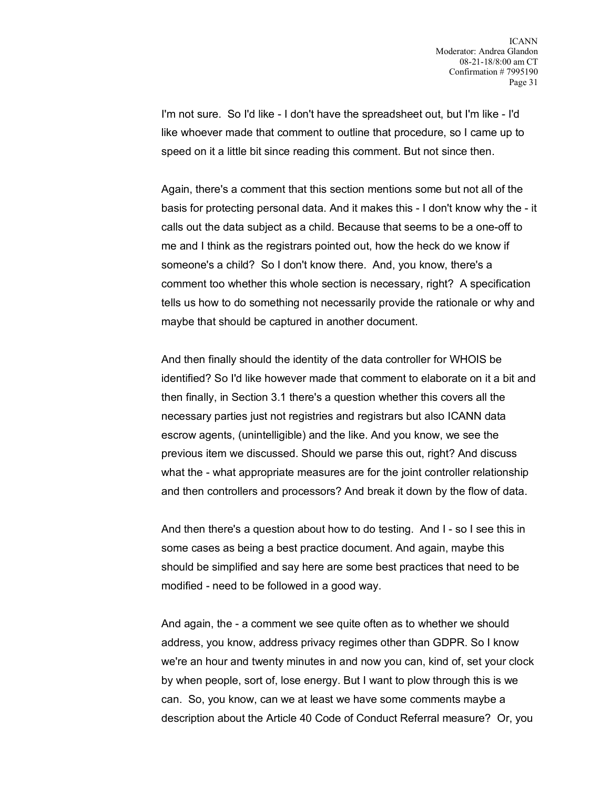I'm not sure. So I'd like - I don't have the spreadsheet out, but I'm like - I'd like whoever made that comment to outline that procedure, so I came up to speed on it a little bit since reading this comment. But not since then.

Again, there's a comment that this section mentions some but not all of the basis for protecting personal data. And it makes this - I don't know why the - it calls out the data subject as a child. Because that seems to be a one-off to me and I think as the registrars pointed out, how the heck do we know if someone's a child? So I don't know there. And, you know, there's a comment too whether this whole section is necessary, right? A specification tells us how to do something not necessarily provide the rationale or why and maybe that should be captured in another document.

And then finally should the identity of the data controller for WHOIS be identified? So I'd like however made that comment to elaborate on it a bit and then finally, in Section 3.1 there's a question whether this covers all the necessary parties just not registries and registrars but also ICANN data escrow agents, (unintelligible) and the like. And you know, we see the previous item we discussed. Should we parse this out, right? And discuss what the - what appropriate measures are for the joint controller relationship and then controllers and processors? And break it down by the flow of data.

And then there's a question about how to do testing. And I - so I see this in some cases as being a best practice document. And again, maybe this should be simplified and say here are some best practices that need to be modified - need to be followed in a good way.

And again, the - a comment we see quite often as to whether we should address, you know, address privacy regimes other than GDPR. So I know we're an hour and twenty minutes in and now you can, kind of, set your clock by when people, sort of, lose energy. But I want to plow through this is we can. So, you know, can we at least we have some comments maybe a description about the Article 40 Code of Conduct Referral measure? Or, you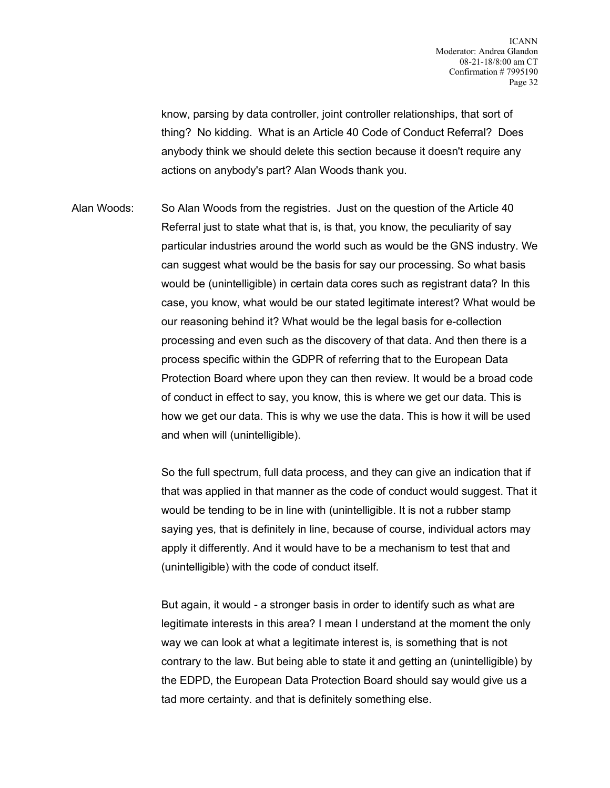know, parsing by data controller, joint controller relationships, that sort of thing? No kidding. What is an Article 40 Code of Conduct Referral? Does anybody think we should delete this section because it doesn't require any actions on anybody's part? Alan Woods thank you.

Alan Woods: So Alan Woods from the registries. Just on the question of the Article 40 Referral just to state what that is, is that, you know, the peculiarity of say particular industries around the world such as would be the GNS industry. We can suggest what would be the basis for say our processing. So what basis would be (unintelligible) in certain data cores such as registrant data? In this case, you know, what would be our stated legitimate interest? What would be our reasoning behind it? What would be the legal basis for e-collection processing and even such as the discovery of that data. And then there is a process specific within the GDPR of referring that to the European Data Protection Board where upon they can then review. It would be a broad code of conduct in effect to say, you know, this is where we get our data. This is how we get our data. This is why we use the data. This is how it will be used and when will (unintelligible).

> So the full spectrum, full data process, and they can give an indication that if that was applied in that manner as the code of conduct would suggest. That it would be tending to be in line with (unintelligible. It is not a rubber stamp saying yes, that is definitely in line, because of course, individual actors may apply it differently. And it would have to be a mechanism to test that and (unintelligible) with the code of conduct itself.

But again, it would - a stronger basis in order to identify such as what are legitimate interests in this area? I mean I understand at the moment the only way we can look at what a legitimate interest is, is something that is not contrary to the law. But being able to state it and getting an (unintelligible) by the EDPD, the European Data Protection Board should say would give us a tad more certainty. and that is definitely something else.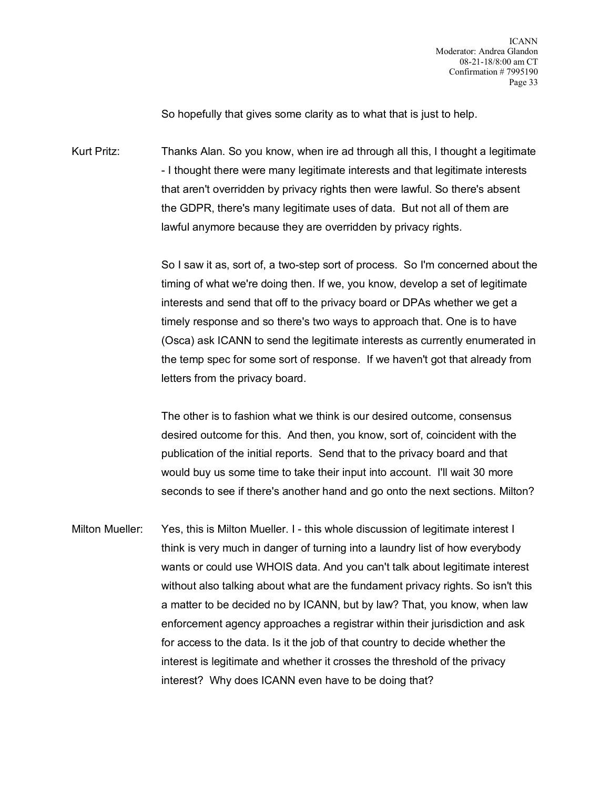So hopefully that gives some clarity as to what that is just to help.

Kurt Pritz: Thanks Alan. So you know, when ire ad through all this, I thought a legitimate - I thought there were many legitimate interests and that legitimate interests that aren't overridden by privacy rights then were lawful. So there's absent the GDPR, there's many legitimate uses of data. But not all of them are lawful anymore because they are overridden by privacy rights.

> So I saw it as, sort of, a two-step sort of process. So I'm concerned about the timing of what we're doing then. If we, you know, develop a set of legitimate interests and send that off to the privacy board or DPAs whether we get a timely response and so there's two ways to approach that. One is to have (Osca) ask ICANN to send the legitimate interests as currently enumerated in the temp spec for some sort of response. If we haven't got that already from letters from the privacy board.

> The other is to fashion what we think is our desired outcome, consensus desired outcome for this. And then, you know, sort of, coincident with the publication of the initial reports. Send that to the privacy board and that would buy us some time to take their input into account. I'll wait 30 more seconds to see if there's another hand and go onto the next sections. Milton?

Milton Mueller: Yes, this is Milton Mueller. I - this whole discussion of legitimate interest I think is very much in danger of turning into a laundry list of how everybody wants or could use WHOIS data. And you can't talk about legitimate interest without also talking about what are the fundament privacy rights. So isn't this a matter to be decided no by ICANN, but by law? That, you know, when law enforcement agency approaches a registrar within their jurisdiction and ask for access to the data. Is it the job of that country to decide whether the interest is legitimate and whether it crosses the threshold of the privacy interest? Why does ICANN even have to be doing that?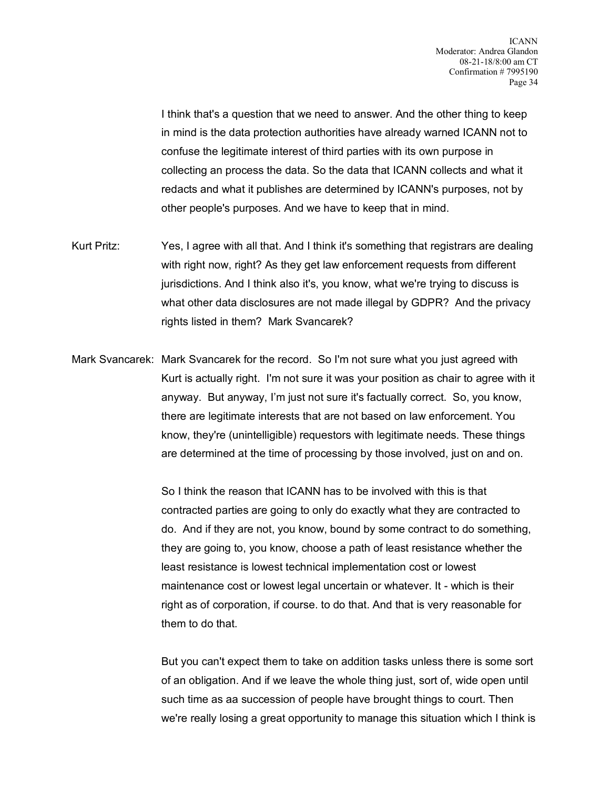I think that's a question that we need to answer. And the other thing to keep in mind is the data protection authorities have already warned ICANN not to confuse the legitimate interest of third parties with its own purpose in collecting an process the data. So the data that ICANN collects and what it redacts and what it publishes are determined by ICANN's purposes, not by other people's purposes. And we have to keep that in mind.

- Kurt Pritz: Yes, I agree with all that. And I think it's something that registrars are dealing with right now, right? As they get law enforcement requests from different jurisdictions. And I think also it's, you know, what we're trying to discuss is what other data disclosures are not made illegal by GDPR? And the privacy rights listed in them? Mark Svancarek?
- Mark Svancarek: Mark Svancarek for the record. So I'm not sure what you just agreed with Kurt is actually right. I'm not sure it was your position as chair to agree with it anyway. But anyway, I'm just not sure it's factually correct. So, you know, there are legitimate interests that are not based on law enforcement. You know, they're (unintelligible) requestors with legitimate needs. These things are determined at the time of processing by those involved, just on and on.

So I think the reason that ICANN has to be involved with this is that contracted parties are going to only do exactly what they are contracted to do. And if they are not, you know, bound by some contract to do something, they are going to, you know, choose a path of least resistance whether the least resistance is lowest technical implementation cost or lowest maintenance cost or lowest legal uncertain or whatever. It - which is their right as of corporation, if course. to do that. And that is very reasonable for them to do that.

But you can't expect them to take on addition tasks unless there is some sort of an obligation. And if we leave the whole thing just, sort of, wide open until such time as aa succession of people have brought things to court. Then we're really losing a great opportunity to manage this situation which I think is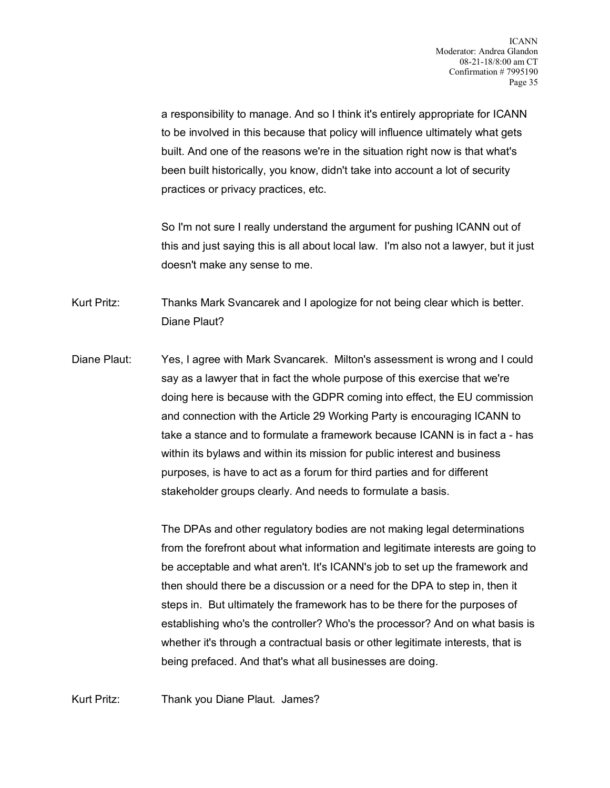a responsibility to manage. And so I think it's entirely appropriate for ICANN to be involved in this because that policy will influence ultimately what gets built. And one of the reasons we're in the situation right now is that what's been built historically, you know, didn't take into account a lot of security practices or privacy practices, etc.

So I'm not sure I really understand the argument for pushing ICANN out of this and just saying this is all about local law. I'm also not a lawyer, but it just doesn't make any sense to me.

Kurt Pritz: Thanks Mark Svancarek and I apologize for not being clear which is better. Diane Plaut?

Diane Plaut: Yes, I agree with Mark Svancarek. Milton's assessment is wrong and I could say as a lawyer that in fact the whole purpose of this exercise that we're doing here is because with the GDPR coming into effect, the EU commission and connection with the Article 29 Working Party is encouraging ICANN to take a stance and to formulate a framework because ICANN is in fact a - has within its bylaws and within its mission for public interest and business purposes, is have to act as a forum for third parties and for different stakeholder groups clearly. And needs to formulate a basis.

> The DPAs and other regulatory bodies are not making legal determinations from the forefront about what information and legitimate interests are going to be acceptable and what aren't. It's ICANN's job to set up the framework and then should there be a discussion or a need for the DPA to step in, then it steps in. But ultimately the framework has to be there for the purposes of establishing who's the controller? Who's the processor? And on what basis is whether it's through a contractual basis or other legitimate interests, that is being prefaced. And that's what all businesses are doing.

Kurt Pritz: Thank you Diane Plaut. James?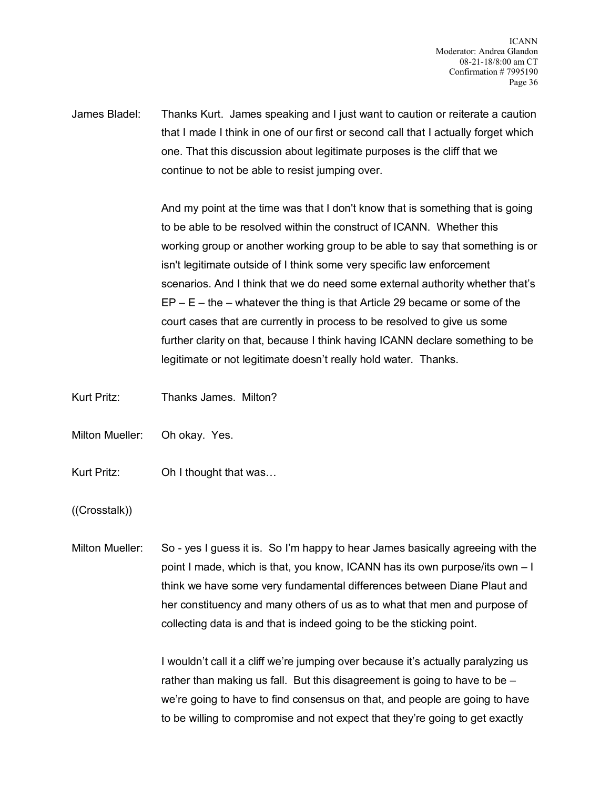James Bladel: Thanks Kurt. James speaking and I just want to caution or reiterate a caution that I made I think in one of our first or second call that I actually forget which one. That this discussion about legitimate purposes is the cliff that we continue to not be able to resist jumping over.

> And my point at the time was that I don't know that is something that is going to be able to be resolved within the construct of ICANN. Whether this working group or another working group to be able to say that something is or isn't legitimate outside of I think some very specific law enforcement scenarios. And I think that we do need some external authority whether that's  $EP - E -$  the – whatever the thing is that Article 29 became or some of the court cases that are currently in process to be resolved to give us some further clarity on that, because I think having ICANN declare something to be legitimate or not legitimate doesn't really hold water. Thanks.

Kurt Pritz: Thanks James. Milton?

Milton Mueller: Oh okay. Yes.

Kurt Pritz: Oh I thought that was…

((Crosstalk))

Milton Mueller: So - yes I guess it is. So I'm happy to hear James basically agreeing with the point I made, which is that, you know, ICANN has its own purpose/its own – I think we have some very fundamental differences between Diane Plaut and her constituency and many others of us as to what that men and purpose of collecting data is and that is indeed going to be the sticking point.

> I wouldn't call it a cliff we're jumping over because it's actually paralyzing us rather than making us fall. But this disagreement is going to have to be  $$ we're going to have to find consensus on that, and people are going to have to be willing to compromise and not expect that they're going to get exactly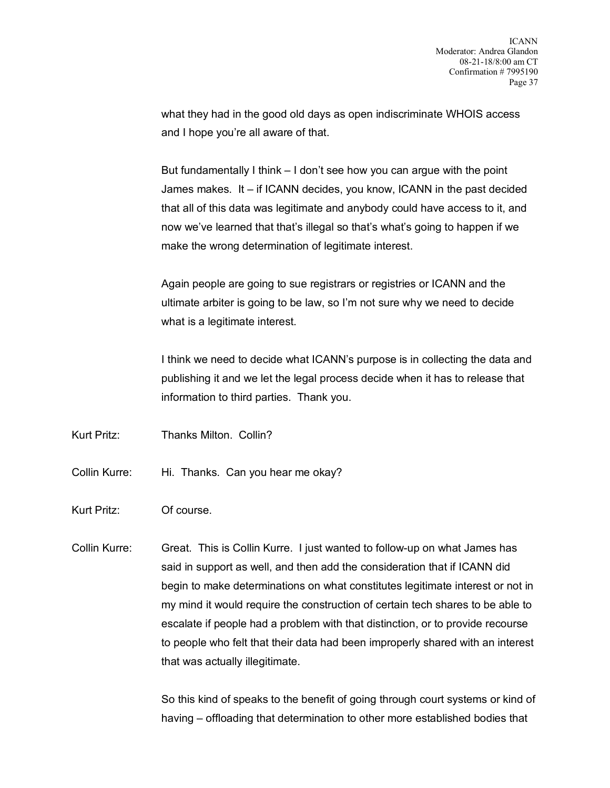what they had in the good old days as open indiscriminate WHOIS access and I hope you're all aware of that.

But fundamentally I think – I don't see how you can argue with the point James makes. It – if ICANN decides, you know, ICANN in the past decided that all of this data was legitimate and anybody could have access to it, and now we've learned that that's illegal so that's what's going to happen if we make the wrong determination of legitimate interest.

Again people are going to sue registrars or registries or ICANN and the ultimate arbiter is going to be law, so I'm not sure why we need to decide what is a legitimate interest.

I think we need to decide what ICANN's purpose is in collecting the data and publishing it and we let the legal process decide when it has to release that information to third parties. Thank you.

Kurt Pritz: Thanks Milton. Collin?

- Collin Kurre: Hi. Thanks. Can you hear me okay?
- Kurt Pritz: Of course.
- Collin Kurre: Great. This is Collin Kurre. I just wanted to follow-up on what James has said in support as well, and then add the consideration that if ICANN did begin to make determinations on what constitutes legitimate interest or not in my mind it would require the construction of certain tech shares to be able to escalate if people had a problem with that distinction, or to provide recourse to people who felt that their data had been improperly shared with an interest that was actually illegitimate.

So this kind of speaks to the benefit of going through court systems or kind of having – offloading that determination to other more established bodies that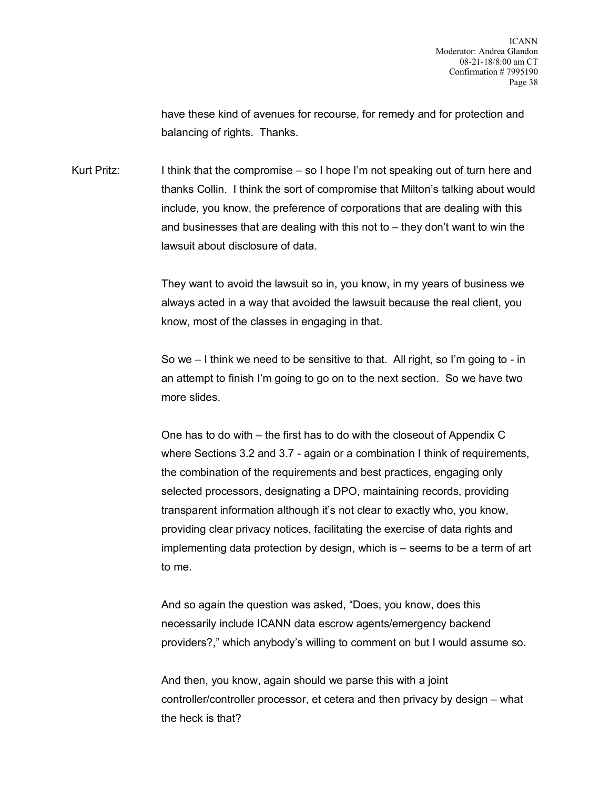have these kind of avenues for recourse, for remedy and for protection and balancing of rights. Thanks.

Kurt Pritz: I think that the compromise – so I hope I'm not speaking out of turn here and thanks Collin. I think the sort of compromise that Milton's talking about would include, you know, the preference of corporations that are dealing with this and businesses that are dealing with this not to – they don't want to win the lawsuit about disclosure of data.

> They want to avoid the lawsuit so in, you know, in my years of business we always acted in a way that avoided the lawsuit because the real client, you know, most of the classes in engaging in that.

> So we – I think we need to be sensitive to that. All right, so I'm going to - in an attempt to finish I'm going to go on to the next section. So we have two more slides.

One has to do with – the first has to do with the closeout of Appendix C where Sections 3.2 and 3.7 - again or a combination I think of requirements, the combination of the requirements and best practices, engaging only selected processors, designating a DPO, maintaining records, providing transparent information although it's not clear to exactly who, you know, providing clear privacy notices, facilitating the exercise of data rights and implementing data protection by design, which is – seems to be a term of art to me.

And so again the question was asked, "Does, you know, does this necessarily include ICANN data escrow agents/emergency backend providers?," which anybody's willing to comment on but I would assume so.

And then, you know, again should we parse this with a joint controller/controller processor, et cetera and then privacy by design – what the heck is that?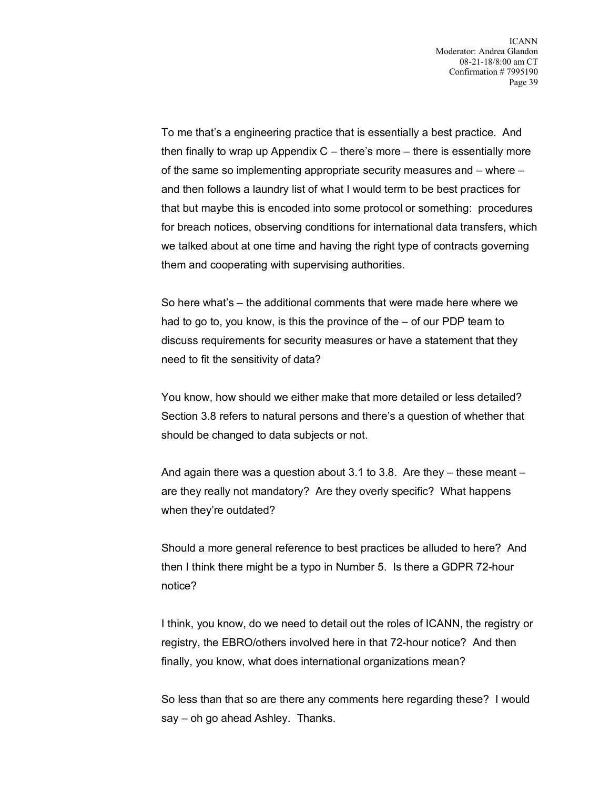To me that's a engineering practice that is essentially a best practice. And then finally to wrap up Appendix  $C$  – there's more – there is essentially more of the same so implementing appropriate security measures and – where – and then follows a laundry list of what I would term to be best practices for that but maybe this is encoded into some protocol or something: procedures for breach notices, observing conditions for international data transfers, which we talked about at one time and having the right type of contracts governing them and cooperating with supervising authorities.

So here what's – the additional comments that were made here where we had to go to, you know, is this the province of the – of our PDP team to discuss requirements for security measures or have a statement that they need to fit the sensitivity of data?

You know, how should we either make that more detailed or less detailed? Section 3.8 refers to natural persons and there's a question of whether that should be changed to data subjects or not.

And again there was a question about 3.1 to 3.8. Are they – these meant – are they really not mandatory? Are they overly specific? What happens when they're outdated?

Should a more general reference to best practices be alluded to here? And then I think there might be a typo in Number 5. Is there a GDPR 72-hour notice?

I think, you know, do we need to detail out the roles of ICANN, the registry or registry, the EBRO/others involved here in that 72-hour notice? And then finally, you know, what does international organizations mean?

So less than that so are there any comments here regarding these? I would say – oh go ahead Ashley. Thanks.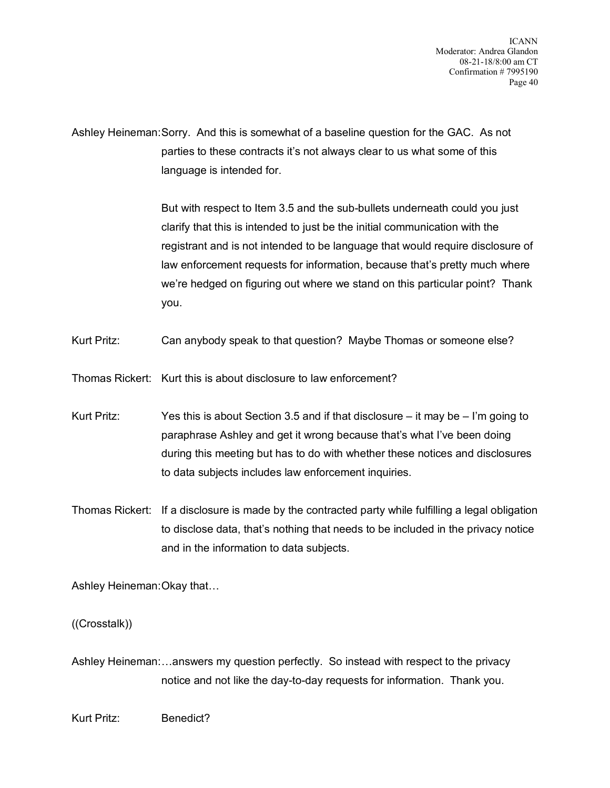Ashley Heineman:Sorry. And this is somewhat of a baseline question for the GAC. As not parties to these contracts it's not always clear to us what some of this language is intended for.

> But with respect to Item 3.5 and the sub-bullets underneath could you just clarify that this is intended to just be the initial communication with the registrant and is not intended to be language that would require disclosure of law enforcement requests for information, because that's pretty much where we're hedged on figuring out where we stand on this particular point? Thank you.

Kurt Pritz: Can anybody speak to that question? Maybe Thomas or someone else?

Thomas Rickert: Kurt this is about disclosure to law enforcement?

- Kurt Pritz: Yes this is about Section 3.5 and if that disclosure it may be I'm going to paraphrase Ashley and get it wrong because that's what I've been doing during this meeting but has to do with whether these notices and disclosures to data subjects includes law enforcement inquiries.
- Thomas Rickert: If a disclosure is made by the contracted party while fulfilling a legal obligation to disclose data, that's nothing that needs to be included in the privacy notice and in the information to data subjects.

Ashley Heineman:Okay that…

((Crosstalk))

Ashley Heineman:…answers my question perfectly. So instead with respect to the privacy notice and not like the day-to-day requests for information. Thank you.

Kurt Pritz: Benedict?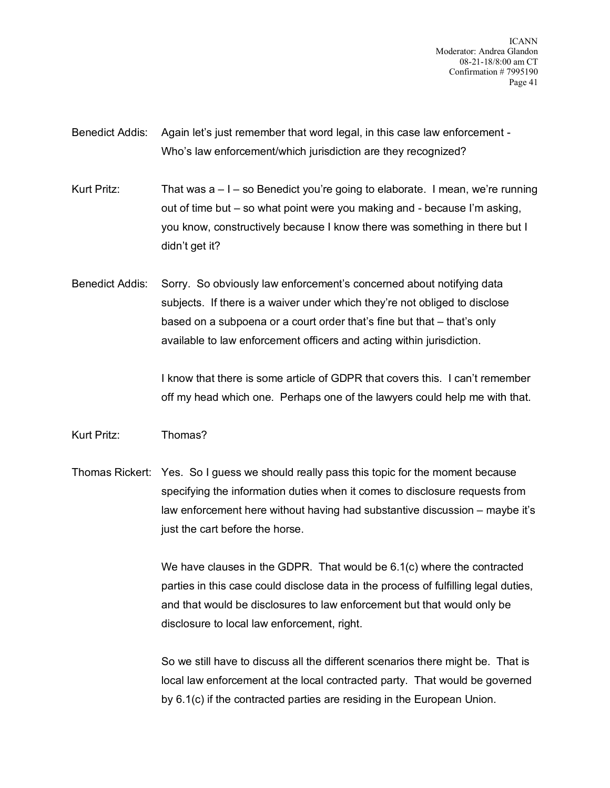ICANN Moderator: Andrea Glandon 08-21-18/8:00 am CT Confirmation # 7995190 Page 41

Benedict Addis: Again let's just remember that word legal, in this case law enforcement - Who's law enforcement/which jurisdiction are they recognized?

Kurt Pritz: That was  $a - 1 - so$  Benedict you're going to elaborate. I mean, we're running out of time but – so what point were you making and - because I'm asking, you know, constructively because I know there was something in there but I didn't get it?

Benedict Addis: Sorry. So obviously law enforcement's concerned about notifying data subjects. If there is a waiver under which they're not obliged to disclose based on a subpoena or a court order that's fine but that – that's only available to law enforcement officers and acting within jurisdiction.

> I know that there is some article of GDPR that covers this. I can't remember off my head which one. Perhaps one of the lawyers could help me with that.

## Kurt Pritz: Thomas?

Thomas Rickert: Yes. So I guess we should really pass this topic for the moment because specifying the information duties when it comes to disclosure requests from law enforcement here without having had substantive discussion – maybe it's just the cart before the horse.

> We have clauses in the GDPR. That would be 6.1(c) where the contracted parties in this case could disclose data in the process of fulfilling legal duties, and that would be disclosures to law enforcement but that would only be disclosure to local law enforcement, right.

> So we still have to discuss all the different scenarios there might be. That is local law enforcement at the local contracted party. That would be governed by 6.1(c) if the contracted parties are residing in the European Union.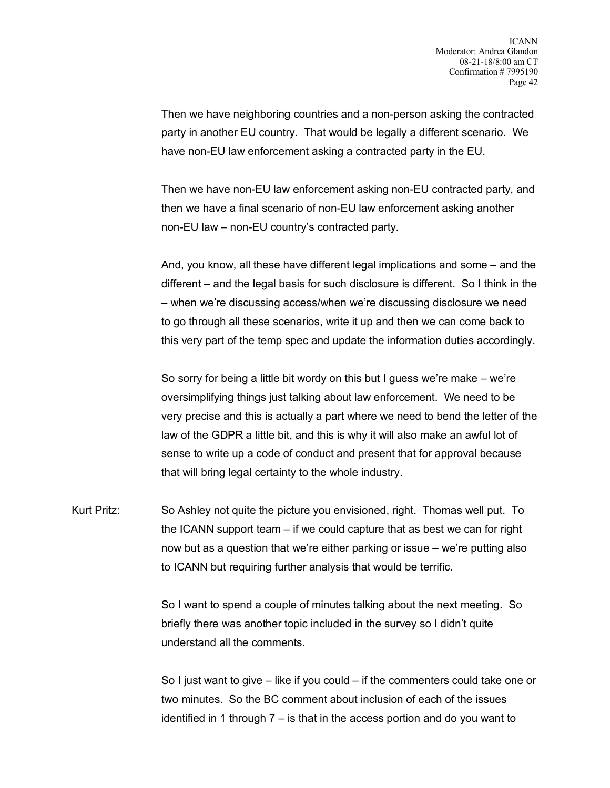Then we have neighboring countries and a non-person asking the contracted party in another EU country. That would be legally a different scenario. We have non-EU law enforcement asking a contracted party in the EU.

Then we have non-EU law enforcement asking non-EU contracted party, and then we have a final scenario of non-EU law enforcement asking another non-EU law – non-EU country's contracted party.

And, you know, all these have different legal implications and some – and the different – and the legal basis for such disclosure is different. So I think in the – when we're discussing access/when we're discussing disclosure we need to go through all these scenarios, write it up and then we can come back to this very part of the temp spec and update the information duties accordingly.

So sorry for being a little bit wordy on this but I guess we're make – we're oversimplifying things just talking about law enforcement. We need to be very precise and this is actually a part where we need to bend the letter of the law of the GDPR a little bit, and this is why it will also make an awful lot of sense to write up a code of conduct and present that for approval because that will bring legal certainty to the whole industry.

Kurt Pritz: So Ashley not quite the picture you envisioned, right. Thomas well put. To the ICANN support team – if we could capture that as best we can for right now but as a question that we're either parking or issue – we're putting also to ICANN but requiring further analysis that would be terrific.

> So I want to spend a couple of minutes talking about the next meeting. So briefly there was another topic included in the survey so I didn't quite understand all the comments.

So I just want to give – like if you could – if the commenters could take one or two minutes. So the BC comment about inclusion of each of the issues identified in 1 through  $7 -$  is that in the access portion and do you want to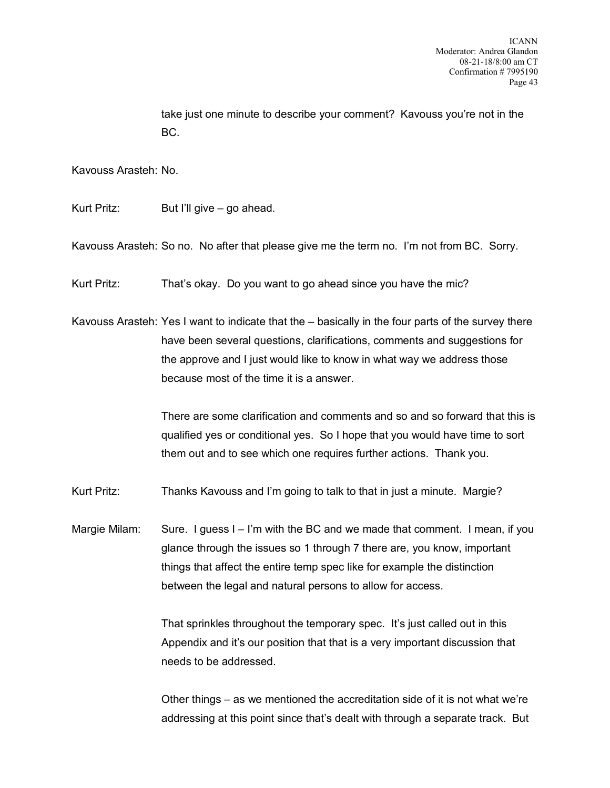take just one minute to describe your comment? Kavouss you're not in the BC.

Kavouss Arasteh: No.

Kurt Pritz: But I'll give – go ahead.

Kavouss Arasteh: So no. No after that please give me the term no. I'm not from BC. Sorry.

Kurt Pritz: That's okay. Do you want to go ahead since you have the mic?

Kavouss Arasteh: Yes I want to indicate that the – basically in the four parts of the survey there have been several questions, clarifications, comments and suggestions for the approve and I just would like to know in what way we address those because most of the time it is a answer.

> There are some clarification and comments and so and so forward that this is qualified yes or conditional yes. So I hope that you would have time to sort them out and to see which one requires further actions. Thank you.

Kurt Pritz: Thanks Kavouss and I'm going to talk to that in just a minute. Margie?

Margie Milam: Sure. I guess I – I'm with the BC and we made that comment. I mean, if you glance through the issues so 1 through 7 there are, you know, important things that affect the entire temp spec like for example the distinction between the legal and natural persons to allow for access.

> That sprinkles throughout the temporary spec. It's just called out in this Appendix and it's our position that that is a very important discussion that needs to be addressed.

Other things – as we mentioned the accreditation side of it is not what we're addressing at this point since that's dealt with through a separate track. But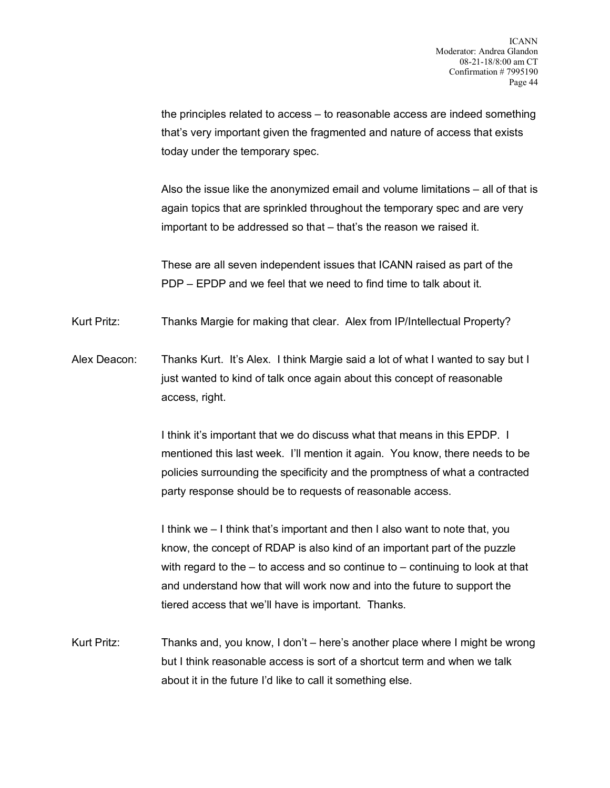the principles related to access – to reasonable access are indeed something that's very important given the fragmented and nature of access that exists today under the temporary spec.

Also the issue like the anonymized email and volume limitations – all of that is again topics that are sprinkled throughout the temporary spec and are very important to be addressed so that – that's the reason we raised it.

These are all seven independent issues that ICANN raised as part of the PDP – EPDP and we feel that we need to find time to talk about it.

Kurt Pritz: Thanks Margie for making that clear. Alex from IP/Intellectual Property?

Alex Deacon: Thanks Kurt. It's Alex. I think Margie said a lot of what I wanted to say but I just wanted to kind of talk once again about this concept of reasonable access, right.

> I think it's important that we do discuss what that means in this EPDP. I mentioned this last week. I'll mention it again. You know, there needs to be policies surrounding the specificity and the promptness of what a contracted party response should be to requests of reasonable access.

> I think we – I think that's important and then I also want to note that, you know, the concept of RDAP is also kind of an important part of the puzzle with regard to the  $-$  to access and so continue to  $-$  continuing to look at that and understand how that will work now and into the future to support the tiered access that we'll have is important. Thanks.

Kurt Pritz: Thanks and, you know, I don't – here's another place where I might be wrong but I think reasonable access is sort of a shortcut term and when we talk about it in the future I'd like to call it something else.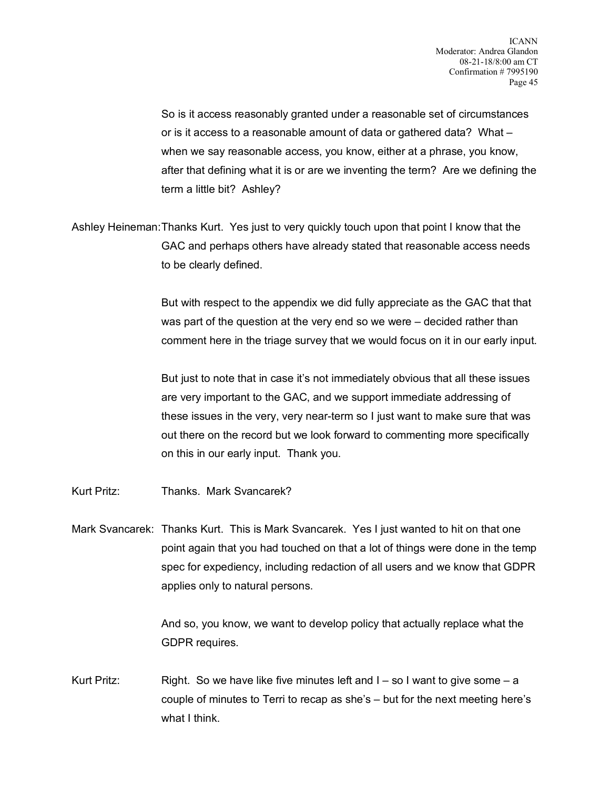So is it access reasonably granted under a reasonable set of circumstances or is it access to a reasonable amount of data or gathered data? What – when we say reasonable access, you know, either at a phrase, you know, after that defining what it is or are we inventing the term? Are we defining the term a little bit? Ashley?

Ashley Heineman:Thanks Kurt. Yes just to very quickly touch upon that point I know that the GAC and perhaps others have already stated that reasonable access needs to be clearly defined.

> But with respect to the appendix we did fully appreciate as the GAC that that was part of the question at the very end so we were – decided rather than comment here in the triage survey that we would focus on it in our early input.

But just to note that in case it's not immediately obvious that all these issues are very important to the GAC, and we support immediate addressing of these issues in the very, very near-term so I just want to make sure that was out there on the record but we look forward to commenting more specifically on this in our early input. Thank you.

- Kurt Pritz: Thanks. Mark Svancarek?
- Mark Svancarek: Thanks Kurt. This is Mark Svancarek. Yes I just wanted to hit on that one point again that you had touched on that a lot of things were done in the temp spec for expediency, including redaction of all users and we know that GDPR applies only to natural persons.

And so, you know, we want to develop policy that actually replace what the GDPR requires.

Kurt Pritz: Right. So we have like five minutes left and  $I - so I$  want to give some  $- a$ couple of minutes to Terri to recap as she's – but for the next meeting here's what I think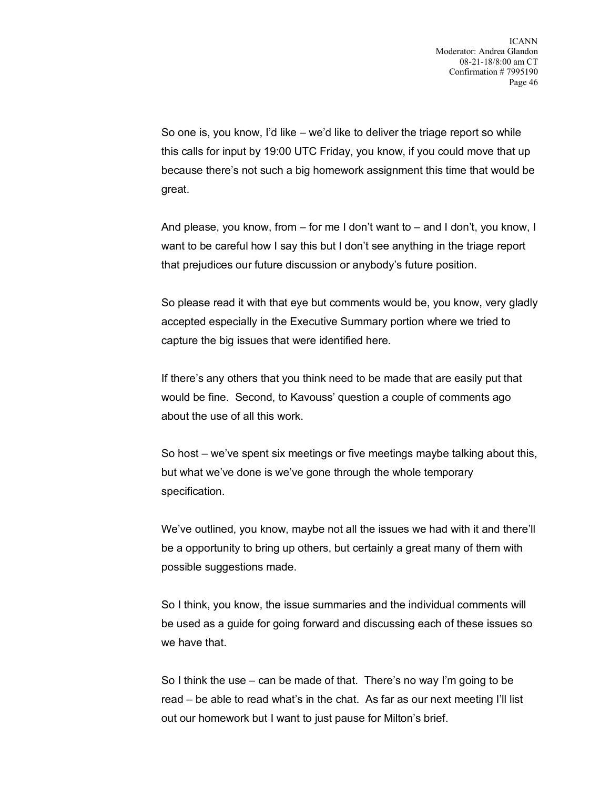So one is, you know, I'd like – we'd like to deliver the triage report so while this calls for input by 19:00 UTC Friday, you know, if you could move that up because there's not such a big homework assignment this time that would be great.

And please, you know, from – for me I don't want to – and I don't, you know, I want to be careful how I say this but I don't see anything in the triage report that prejudices our future discussion or anybody's future position.

So please read it with that eye but comments would be, you know, very gladly accepted especially in the Executive Summary portion where we tried to capture the big issues that were identified here.

If there's any others that you think need to be made that are easily put that would be fine. Second, to Kavouss' question a couple of comments ago about the use of all this work.

So host – we've spent six meetings or five meetings maybe talking about this, but what we've done is we've gone through the whole temporary specification.

We've outlined, you know, maybe not all the issues we had with it and there'll be a opportunity to bring up others, but certainly a great many of them with possible suggestions made.

So I think, you know, the issue summaries and the individual comments will be used as a guide for going forward and discussing each of these issues so we have that.

So I think the use – can be made of that. There's no way I'm going to be read – be able to read what's in the chat. As far as our next meeting I'll list out our homework but I want to just pause for Milton's brief.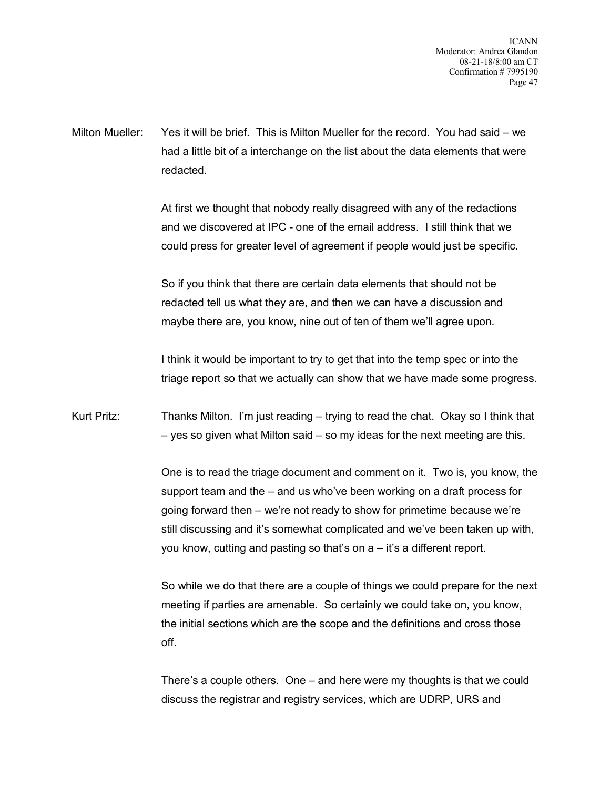Milton Mueller: Yes it will be brief. This is Milton Mueller for the record. You had said – we had a little bit of a interchange on the list about the data elements that were redacted.

> At first we thought that nobody really disagreed with any of the redactions and we discovered at IPC - one of the email address. I still think that we could press for greater level of agreement if people would just be specific.

So if you think that there are certain data elements that should not be redacted tell us what they are, and then we can have a discussion and maybe there are, you know, nine out of ten of them we'll agree upon.

I think it would be important to try to get that into the temp spec or into the triage report so that we actually can show that we have made some progress.

Kurt Pritz: Thanks Milton. I'm just reading – trying to read the chat. Okay so I think that – yes so given what Milton said – so my ideas for the next meeting are this.

> One is to read the triage document and comment on it. Two is, you know, the support team and the – and us who've been working on a draft process for going forward then – we're not ready to show for primetime because we're still discussing and it's somewhat complicated and we've been taken up with, you know, cutting and pasting so that's on a – it's a different report.

> So while we do that there are a couple of things we could prepare for the next meeting if parties are amenable. So certainly we could take on, you know, the initial sections which are the scope and the definitions and cross those off.

There's a couple others. One – and here were my thoughts is that we could discuss the registrar and registry services, which are UDRP, URS and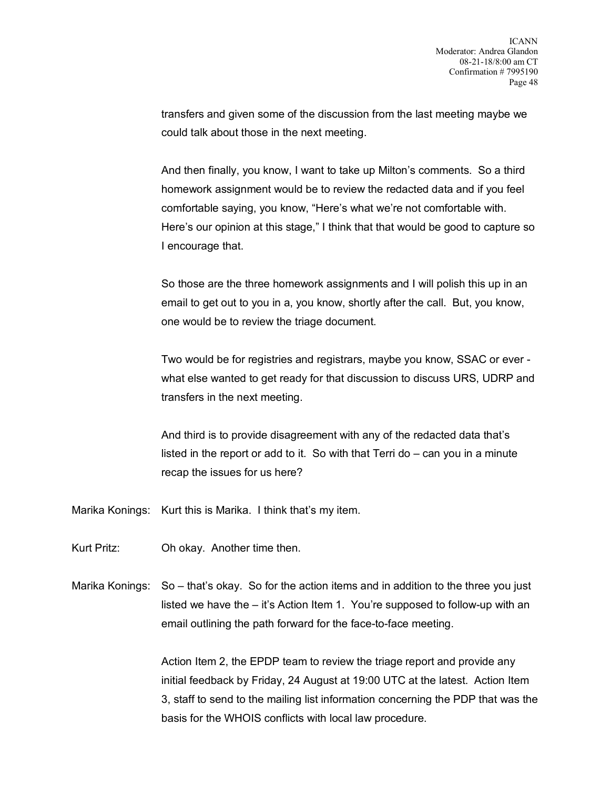transfers and given some of the discussion from the last meeting maybe we could talk about those in the next meeting.

And then finally, you know, I want to take up Milton's comments. So a third homework assignment would be to review the redacted data and if you feel comfortable saying, you know, "Here's what we're not comfortable with. Here's our opinion at this stage," I think that that would be good to capture so I encourage that.

So those are the three homework assignments and I will polish this up in an email to get out to you in a, you know, shortly after the call. But, you know, one would be to review the triage document.

Two would be for registries and registrars, maybe you know, SSAC or ever what else wanted to get ready for that discussion to discuss URS, UDRP and transfers in the next meeting.

And third is to provide disagreement with any of the redacted data that's listed in the report or add to it. So with that Terri do – can you in a minute recap the issues for us here?

Marika Konings: Kurt this is Marika. I think that's my item.

- Kurt Pritz: Oh okay. Another time then.
- Marika Konings: So that's okay. So for the action items and in addition to the three you just listed we have the – it's Action Item 1. You're supposed to follow-up with an email outlining the path forward for the face-to-face meeting.

Action Item 2, the EPDP team to review the triage report and provide any initial feedback by Friday, 24 August at 19:00 UTC at the latest. Action Item 3, staff to send to the mailing list information concerning the PDP that was the basis for the WHOIS conflicts with local law procedure.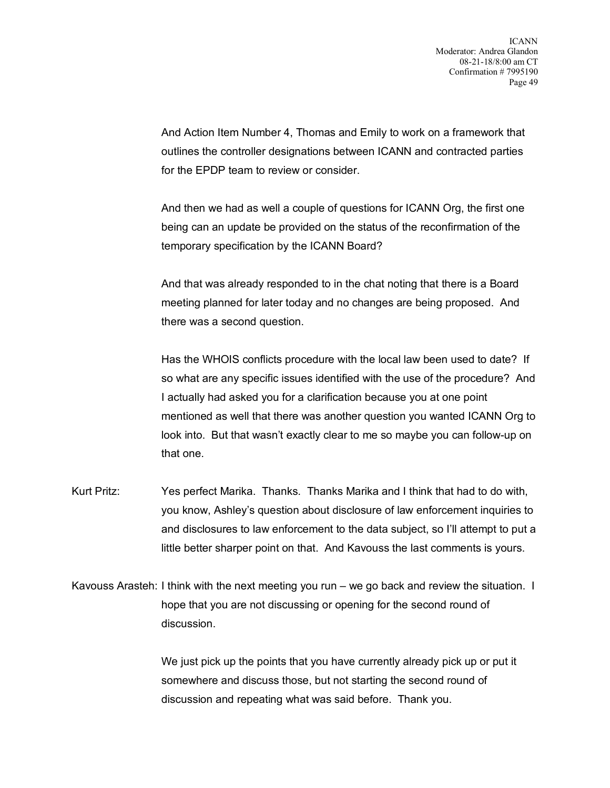And Action Item Number 4, Thomas and Emily to work on a framework that outlines the controller designations between ICANN and contracted parties for the EPDP team to review or consider.

And then we had as well a couple of questions for ICANN Org, the first one being can an update be provided on the status of the reconfirmation of the temporary specification by the ICANN Board?

And that was already responded to in the chat noting that there is a Board meeting planned for later today and no changes are being proposed. And there was a second question.

Has the WHOIS conflicts procedure with the local law been used to date? If so what are any specific issues identified with the use of the procedure? And I actually had asked you for a clarification because you at one point mentioned as well that there was another question you wanted ICANN Org to look into. But that wasn't exactly clear to me so maybe you can follow-up on that one.

- Kurt Pritz: Yes perfect Marika. Thanks. Thanks Marika and I think that had to do with, you know, Ashley's question about disclosure of law enforcement inquiries to and disclosures to law enforcement to the data subject, so I'll attempt to put a little better sharper point on that. And Kavouss the last comments is yours.
- Kavouss Arasteh: I think with the next meeting you run we go back and review the situation. I hope that you are not discussing or opening for the second round of discussion.

We just pick up the points that you have currently already pick up or put it somewhere and discuss those, but not starting the second round of discussion and repeating what was said before. Thank you.